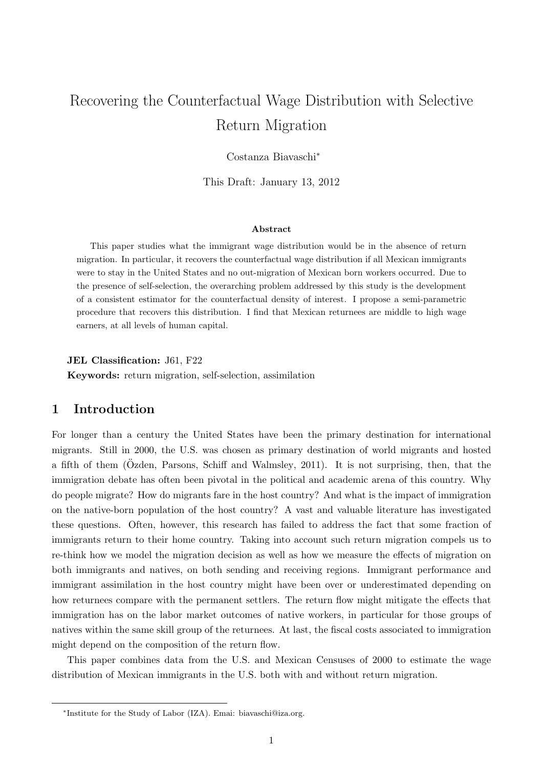# Recovering the Counterfactual Wage Distribution with Selective Return Migration

Costanza Biavaschi<sup>∗</sup>

This Draft: January 13, 2012

#### Abstract

This paper studies what the immigrant wage distribution would be in the absence of return migration. In particular, it recovers the counterfactual wage distribution if all Mexican immigrants were to stay in the United States and no out-migration of Mexican born workers occurred. Due to the presence of self-selection, the overarching problem addressed by this study is the development of a consistent estimator for the counterfactual density of interest. I propose a semi-parametric procedure that recovers this distribution. I find that Mexican returnees are middle to high wage earners, at all levels of human capital.

JEL Classification: J61, F22

Keywords: return migration, self-selection, assimilation

## 1 Introduction

For longer than a century the United States have been the primary destination for international migrants. Still in 2000, the U.S. was chosen as primary destination of world migrants and hosted a fifth of them ( $\ddot{O}zden$ , Parsons, Schiff and Walmsley, [2011\)](#page-37-0). It is not surprising, then, that the immigration debate has often been pivotal in the political and academic arena of this country. Why do people migrate? How do migrants fare in the host country? And what is the impact of immigration on the native-born population of the host country? A vast and valuable literature has investigated these questions. Often, however, this research has failed to address the fact that some fraction of immigrants return to their home country. Taking into account such return migration compels us to re-think how we model the migration decision as well as how we measure the effects of migration on both immigrants and natives, on both sending and receiving regions. Immigrant performance and immigrant assimilation in the host country might have been over or underestimated depending on how returnees compare with the permanent settlers. The return flow might mitigate the effects that immigration has on the labor market outcomes of native workers, in particular for those groups of natives within the same skill group of the returnees. At last, the fiscal costs associated to immigration might depend on the composition of the return flow.

This paper combines data from the U.S. and Mexican Censuses of 2000 to estimate the wage distribution of Mexican immigrants in the U.S. both with and without return migration.

<sup>∗</sup> Institute for the Study of Labor (IZA). Emai: [biavaschi@iza.org.](mailto:biavaschi@iza.org)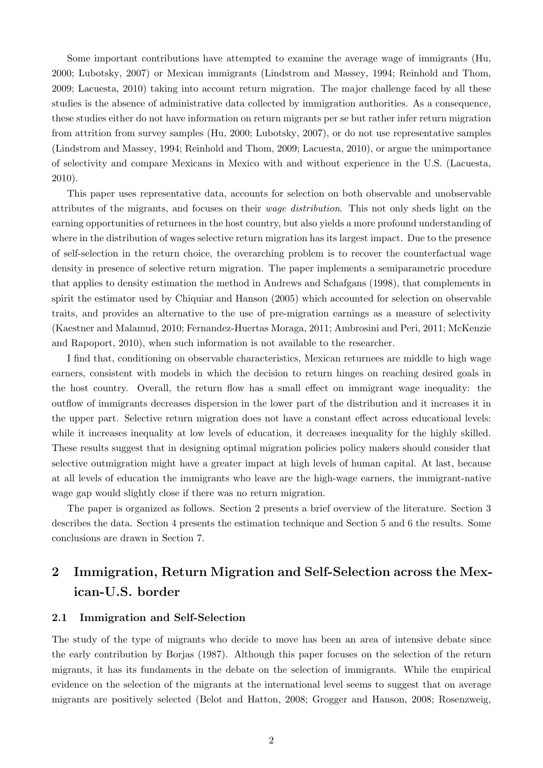Some important contributions have attempted to examine the average wage of immigrants [\(Hu,](#page-38-0) [2000;](#page-38-0) [Lubotsky,](#page-38-1) [2007\)](#page-38-1) or Mexican immigrants [\(Lindstrom and Massey,](#page-38-2) [1994;](#page-38-2) [Reinhold and Thom,](#page-39-0) [2009;](#page-39-0) [Lacuesta,](#page-38-3) [2010\)](#page-38-3) taking into account return migration. The major challenge faced by all these studies is the absence of administrative data collected by immigration authorities. As a consequence, these studies either do not have information on return migrants per se but rather infer return migration from attrition from survey samples [\(Hu,](#page-38-0) [2000;](#page-38-0) [Lubotsky,](#page-38-1) [2007\)](#page-38-1), or do not use representative samples [\(Lindstrom and Massey,](#page-38-2) [1994;](#page-38-2) [Reinhold and Thom,](#page-39-0) [2009;](#page-39-0) [Lacuesta,](#page-38-3) [2010\)](#page-38-3), or argue the unimportance of selectivity and compare Mexicans in Mexico with and without experience in the U.S. [\(Lacuesta,](#page-38-3) [2010\)](#page-38-3).

This paper uses representative data, accounts for selection on both observable and unobservable attributes of the migrants, and focuses on their wage distribution. This not only sheds light on the earning opportunities of returnees in the host country, but also yields a more profound understanding of where in the distribution of wages selective return migration has its largest impact. Due to the presence of self-selection in the return choice, the overarching problem is to recover the counterfactual wage density in presence of selective return migration. The paper implements a semiparametric procedure that applies to density estimation the method in [Andrews and Schafgans](#page-37-1) [\(1998\)](#page-37-1), that complements in spirit the estimator used by [Chiquiar and Hanson](#page-37-2) [\(2005\)](#page-37-2) which accounted for selection on observable traits, and provides an alternative to the use of pre-migration earnings as a measure of selectivity [\(Kaestner and Malamud,](#page-38-4) [2010;](#page-38-4) [Fernandez-Huertas Moraga,](#page-38-5) [2011;](#page-38-5) [Ambrosini and Peri,](#page-37-3) [2011;](#page-37-3) [McKenzie](#page-38-6) [and Rapoport,](#page-38-6) [2010\)](#page-38-6), when such information is not available to the researcher.

I find that, conditioning on observable characteristics, Mexican returnees are middle to high wage earners, consistent with models in which the decision to return hinges on reaching desired goals in the host country. Overall, the return flow has a small effect on immigrant wage inequality: the outflow of immigrants decreases dispersion in the lower part of the distribution and it increases it in the upper part. Selective return migration does not have a constant effect across educational levels: while it increases inequality at low levels of education, it decreases inequality for the highly skilled. These results suggest that in designing optimal migration policies policy makers should consider that selective outmigration might have a greater impact at high levels of human capital. At last, because at all levels of education the immigrants who leave are the high-wage earners, the immigrant-native wage gap would slightly close if there was no return migration.

The paper is organized as follows. Section 2 presents a brief overview of the literature. Section 3 describes the data. Section 4 presents the estimation technique and Section 5 and 6 the results. Some conclusions are drawn in Section 7.

## 2 Immigration, Return Migration and Self-Selection across the Mexican-U.S. border

### 2.1 Immigration and Self-Selection

The study of the type of migrants who decide to move has been an area of intensive debate since the early contribution by [Borjas](#page-37-4) [\(1987\)](#page-37-4). Although this paper focuses on the selection of the return migrants, it has its fundaments in the debate on the selection of immigrants. While the empirical evidence on the selection of the migrants at the international level seems to suggest that on average migrants are positively selected [\(Belot and Hatton,](#page-37-5) [2008;](#page-37-5) [Grogger and Hanson,](#page-38-7) [2008;](#page-38-7) [Rosenzweig,](#page-39-1)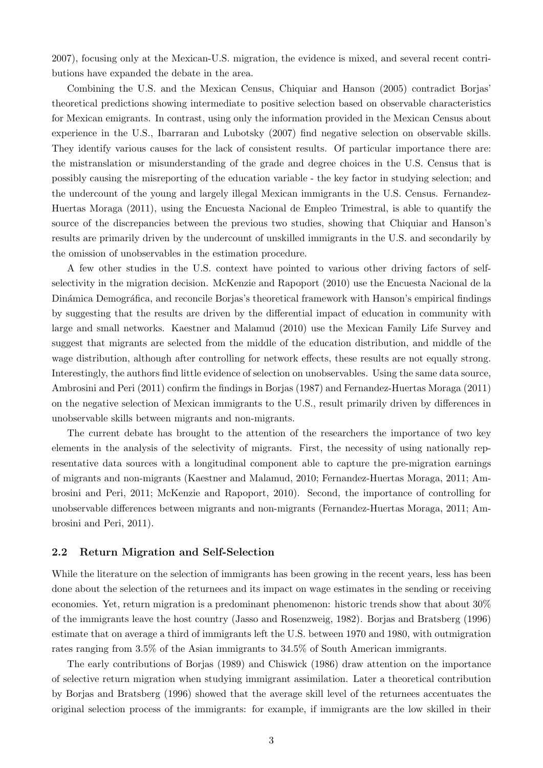[2007\)](#page-39-1), focusing only at the Mexican-U.S. migration, the evidence is mixed, and several recent contributions have expanded the debate in the area.

Combining the U.S. and the Mexican Census, [Chiquiar and Hanson](#page-37-2) [\(2005\)](#page-37-2) contradict Borjas' theoretical predictions showing intermediate to positive selection based on observable characteristics for Mexican emigrants. In contrast, using only the information provided in the Mexican Census about experience in the U.S., [Ibarraran and Lubotsky](#page-38-8) [\(2007\)](#page-38-8) find negative selection on observable skills. They identify various causes for the lack of consistent results. Of particular importance there are: the mistranslation or misunderstanding of the grade and degree choices in the U.S. Census that is possibly causing the misreporting of the education variable - the key factor in studying selection; and the undercount of the young and largely illegal Mexican immigrants in the U.S. Census. [Fernandez-](#page-38-5)[Huertas Moraga](#page-38-5) [\(2011\)](#page-38-5), using the Encuesta Nacional de Empleo Trimestral, is able to quantify the source of the discrepancies between the previous two studies, showing that Chiquiar and Hanson's results are primarily driven by the undercount of unskilled immigrants in the U.S. and secondarily by the omission of unobservables in the estimation procedure.

A few other studies in the U.S. context have pointed to various other driving factors of selfselectivity in the migration decision. [McKenzie and Rapoport](#page-38-6) [\(2010\)](#page-38-6) use the Encuesta Nacional de la Dinámica Demográfica, and reconcile Borjas's theoretical framework with Hanson's empirical findings by suggesting that the results are driven by the differential impact of education in community with large and small networks. [Kaestner and Malamud](#page-38-4) [\(2010\)](#page-38-4) use the Mexican Family Life Survey and suggest that migrants are selected from the middle of the education distribution, and middle of the wage distribution, although after controlling for network effects, these results are not equally strong. Interestingly, the authors find little evidence of selection on unobservables. Using the same data source, [Ambrosini and Peri](#page-37-3) [\(2011\)](#page-37-3) confirm the findings in [Borjas](#page-37-4) [\(1987\)](#page-37-4) and [Fernandez-Huertas Moraga](#page-38-5) [\(2011\)](#page-38-5) on the negative selection of Mexican immigrants to the U.S., result primarily driven by differences in unobservable skills between migrants and non-migrants.

The current debate has brought to the attention of the researchers the importance of two key elements in the analysis of the selectivity of migrants. First, the necessity of using nationally representative data sources with a longitudinal component able to capture the pre-migration earnings of migrants and non-migrants [\(Kaestner and Malamud,](#page-38-4) [2010;](#page-38-4) [Fernandez-Huertas Moraga,](#page-38-5) [2011;](#page-38-5) [Am](#page-37-3)[brosini and Peri,](#page-37-3) [2011;](#page-37-3) [McKenzie and Rapoport,](#page-38-6) [2010\)](#page-38-6). Second, the importance of controlling for unobservable differences between migrants and non-migrants [\(Fernandez-Huertas Moraga,](#page-38-5) [2011;](#page-38-5) [Am](#page-37-3)[brosini and Peri,](#page-37-3) [2011\)](#page-37-3).

### 2.2 Return Migration and Self-Selection

While the literature on the selection of immigrants has been growing in the recent years, less has been done about the selection of the returnees and its impact on wage estimates in the sending or receiving economies. Yet, return migration is a predominant phenomenon: historic trends show that about 30% of the immigrants leave the host country [\(Jasso and Rosenzweig,](#page-38-9) [1982\)](#page-38-9). [Borjas and Bratsberg](#page-37-6) [\(1996\)](#page-37-6) estimate that on average a third of immigrants left the U.S. between 1970 and 1980, with outmigration rates ranging from 3.5% of the Asian immigrants to 34.5% of South American immigrants.

The early contributions of [Borjas](#page-37-7) [\(1989\)](#page-37-7) and [Chiswick](#page-37-8) [\(1986\)](#page-37-8) draw attention on the importance of selective return migration when studying immigrant assimilation. Later a theoretical contribution by [Borjas and Bratsberg](#page-37-6) [\(1996\)](#page-37-6) showed that the average skill level of the returnees accentuates the original selection process of the immigrants: for example, if immigrants are the low skilled in their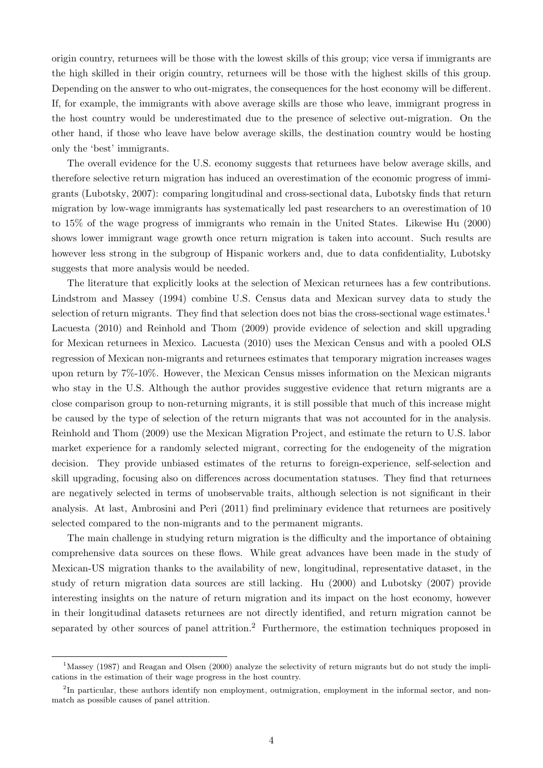origin country, returnees will be those with the lowest skills of this group; vice versa if immigrants are the high skilled in their origin country, returnees will be those with the highest skills of this group. Depending on the answer to who out-migrates, the consequences for the host economy will be different. If, for example, the immigrants with above average skills are those who leave, immigrant progress in the host country would be underestimated due to the presence of selective out-migration. On the other hand, if those who leave have below average skills, the destination country would be hosting only the 'best' immigrants.

The overall evidence for the U.S. economy suggests that returnees have below average skills, and therefore selective return migration has induced an overestimation of the economic progress of immigrants [\(Lubotsky,](#page-38-1) [2007\)](#page-38-1): comparing longitudinal and cross-sectional data, Lubotsky finds that return migration by low-wage immigrants has systematically led past researchers to an overestimation of 10 to 15% of the wage progress of immigrants who remain in the United States. Likewise [Hu](#page-38-0) [\(2000\)](#page-38-0) shows lower immigrant wage growth once return migration is taken into account. Such results are however less strong in the subgroup of Hispanic workers and, due to data confidentiality, Lubotsky suggests that more analysis would be needed.

The literature that explicitly looks at the selection of Mexican returnees has a few contributions. [Lindstrom and Massey](#page-38-2) [\(1994\)](#page-38-2) combine U.S. Census data and Mexican survey data to study the selection of return migrants. They find that selection does not bias the cross-sectional wage estimates.<sup>1</sup> [Lacuesta](#page-38-3) [\(2010\)](#page-38-3) and [Reinhold and Thom](#page-39-0) [\(2009\)](#page-39-0) provide evidence of selection and skill upgrading for Mexican returnees in Mexico. [Lacuesta](#page-38-3) [\(2010\)](#page-38-3) uses the Mexican Census and with a pooled OLS regression of Mexican non-migrants and returnees estimates that temporary migration increases wages upon return by 7%-10%. However, the Mexican Census misses information on the Mexican migrants who stay in the U.S. Although the author provides suggestive evidence that return migrants are a close comparison group to non-returning migrants, it is still possible that much of this increase might be caused by the type of selection of the return migrants that was not accounted for in the analysis. [Reinhold and Thom](#page-39-0) [\(2009\)](#page-39-0) use the Mexican Migration Project, and estimate the return to U.S. labor market experience for a randomly selected migrant, correcting for the endogeneity of the migration decision. They provide unbiased estimates of the returns to foreign-experience, self-selection and skill upgrading, focusing also on differences across documentation statuses. They find that returnees are negatively selected in terms of unobservable traits, although selection is not significant in their analysis. At last, [Ambrosini and Peri](#page-37-3) [\(2011\)](#page-37-3) find preliminary evidence that returnees are positively selected compared to the non-migrants and to the permanent migrants.

The main challenge in studying return migration is the difficulty and the importance of obtaining comprehensive data sources on these flows. While great advances have been made in the study of Mexican-US migration thanks to the availability of new, longitudinal, representative dataset, in the study of return migration data sources are still lacking. [Hu](#page-38-0) [\(2000\)](#page-38-0) and [Lubotsky](#page-38-1) [\(2007\)](#page-38-1) provide interesting insights on the nature of return migration and its impact on the host economy, however in their longitudinal datasets returnees are not directly identified, and return migration cannot be separated by other sources of panel attrition.<sup>2</sup> Furthermore, the estimation techniques proposed in

<sup>&</sup>lt;sup>1</sup>[Massey](#page-38-10) [\(1987\)](#page-38-10) and [Reagan and Olsen](#page-39-2) [\(2000\)](#page-39-2) analyze the selectivity of return migrants but do not study the implications in the estimation of their wage progress in the host country.

<sup>&</sup>lt;sup>2</sup>In particular, these authors identify non employment, outmigration, employment in the informal sector, and nonmatch as possible causes of panel attrition.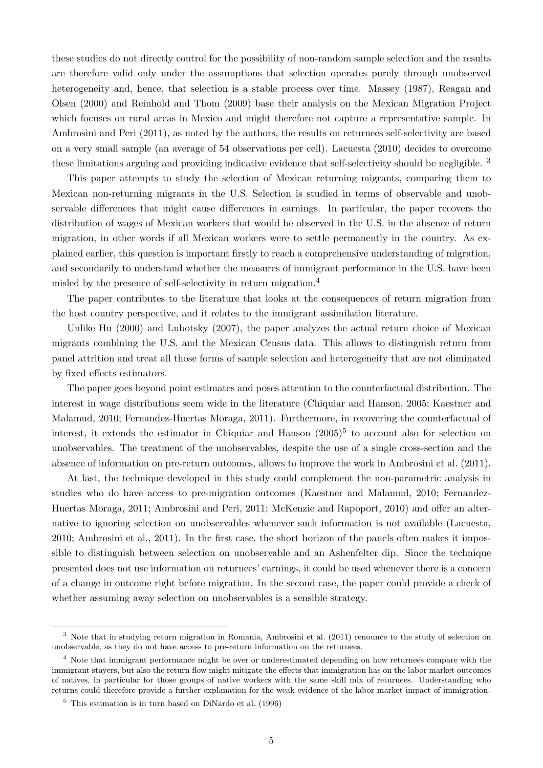these studies do not directly control for the possibility of non-random sample selection and the results are therefore valid only under the assumptions that selection operates purely through unobserved heterogeneity and, hence, that selection is a stable process over time. [Massey](#page-38-10) [\(1987\)](#page-38-10), [Reagan and](#page-39-2) [Olsen](#page-39-2) [\(2000\)](#page-39-2) and [Reinhold and Thom](#page-39-0) [\(2009\)](#page-39-0) base their analysis on the Mexican Migration Project which focuses on rural areas in Mexico and might therefore not capture a representative sample. In [Ambrosini and Peri](#page-37-3) [\(2011\)](#page-37-3), as noted by the authors, the results on returnees self-selectivity are based on a very small sample (an average of 54 observations per cell). [Lacuesta](#page-38-3) [\(2010\)](#page-38-3) decides to overcome these limitations arguing and providing indicative evidence that self-selectivity should be negligible. <sup>3</sup>

This paper attempts to study the selection of Mexican returning migrants, comparing them to Mexican non-returning migrants in the U.S. Selection is studied in terms of observable and unobservable differences that might cause differences in earnings. In particular, the paper recovers the distribution of wages of Mexican workers that would be observed in the U.S. in the absence of return migration, in other words if all Mexican workers were to settle permanently in the country. As explained earlier, this question is important firstly to reach a comprehensive understanding of migration, and secondarily to understand whether the measures of immigrant performance in the U.S. have been misled by the presence of self-selectivity in return migration.<sup>4</sup>

The paper contributes to the literature that looks at the consequences of return migration from the host country perspective, and it relates to the immigrant assimilation literature.

Unlike [Hu](#page-38-0) [\(2000\)](#page-38-0) and [Lubotsky](#page-38-1) [\(2007\)](#page-38-1), the paper analyzes the actual return choice of Mexican migrants combining the U.S. and the Mexican Census data. This allows to distinguish return from panel attrition and treat all those forms of sample selection and heterogeneity that are not eliminated by fixed effects estimators.

The paper goes beyond point estimates and poses attention to the counterfactual distribution. The interest in wage distributions seem wide in the literature [\(Chiquiar and Hanson,](#page-37-2) [2005;](#page-37-2) [Kaestner and](#page-38-4) [Malamud,](#page-38-4) [2010;](#page-38-4) [Fernandez-Huertas Moraga,](#page-38-5) [2011\)](#page-38-5). Furthermore, in recovering the counterfactual of interest, it extends the estimator in [Chiquiar and Hanson](#page-37-2) [\(2005\)](#page-37-2) 5 to account also for selection on unobservables. The treatment of the unobservables, despite the use of a single cross-section and the absence of information on pre-return outcomes, allows to improve the work in [Ambrosini et al.](#page-37-9) [\(2011\)](#page-37-9).

At last, the technique developed in this study could complement the non-parametric analysis in studies who do have access to pre-migration outcomes [\(Kaestner and Malamud,](#page-38-4) [2010;](#page-38-4) [Fernandez-](#page-38-5)[Huertas Moraga,](#page-38-5) [2011;](#page-38-5) [Ambrosini and Peri,](#page-37-3) [2011;](#page-37-3) [McKenzie and Rapoport,](#page-38-6) [2010\)](#page-38-6) and offer an alternative to ignoring selection on unobservables whenever such information is not available [\(Lacuesta,](#page-38-3) [2010;](#page-38-3) [Ambrosini et al.,](#page-37-9) [2011\)](#page-37-9). In the first case, the short horizon of the panels often makes it impossible to distinguish between selection on unobservable and an Ashenfelter dip. Since the technique presented does not use information on returnees' earnings, it could be used whenever there is a concern of a change in outcome right before migration. In the second case, the paper could provide a check of whether assuming away selection on unobservables is a sensible strategy.

<sup>3</sup> Note that in studying return migration in Romania, [Ambrosini et al.](#page-37-9) [\(2011\)](#page-37-9) renounce to the study of selection on unobservable, as they do not have access to pre-return information on the returnees.

<sup>4</sup> Note that immigrant performance might be over or underestimated depending on how returnees compare with the immigrant stayers, but also the return flow might mitigate the effects that immigration has on the labor market outcomes of natives, in particular for those groups of native workers with the same skill mix of returnees. Understanding who returns could therefore provide a further explanation for the weak evidence of the labor market impact of immigration.

<sup>5</sup> This estimation is in turn based on [DiNardo et al.](#page-37-10) [\(1996\)](#page-37-10)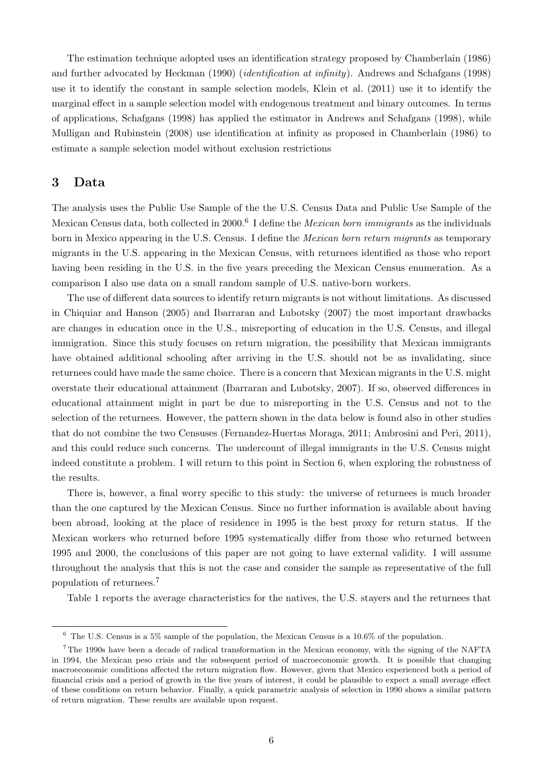The estimation technique adopted uses an identification strategy proposed by [Chamberlain](#page-37-11) [\(1986\)](#page-37-11) and further advocated by [Heckman](#page-38-11) [\(1990\)](#page-38-11) (identification at infinity). [Andrews and Schafgans](#page-37-1) [\(1998\)](#page-37-1) use it to identify the constant in sample selection models, [Klein et al.](#page-38-12) [\(2011\)](#page-38-12) use it to identify the marginal effect in a sample selection model with endogenous treatment and binary outcomes. In terms of applications, [Schafgans](#page-39-3) [\(1998\)](#page-39-3) has applied the estimator in [Andrews and Schafgans](#page-37-1) [\(1998\)](#page-37-1), while [Mulligan and Rubinstein](#page-38-13) [\(2008\)](#page-38-13) use identification at infinity as proposed in [Chamberlain](#page-37-11) [\(1986\)](#page-37-11) to estimate a sample selection model without exclusion restrictions

## 3 Data

The analysis uses the Public Use Sample of the the U.S. Census Data and Public Use Sample of the Mexican Census data, both collected in 2000.<sup>6</sup> I define the *Mexican born immigrants* as the individuals born in Mexico appearing in the U.S. Census. I define the Mexican born return migrants as temporary migrants in the U.S. appearing in the Mexican Census, with returnees identified as those who report having been residing in the U.S. in the five years preceding the Mexican Census enumeration. As a comparison I also use data on a small random sample of U.S. native-born workers.

The use of different data sources to identify return migrants is not without limitations. As discussed in [Chiquiar and Hanson](#page-37-2) [\(2005\)](#page-37-2) and [Ibarraran and Lubotsky](#page-38-8) [\(2007\)](#page-38-8) the most important drawbacks are changes in education once in the U.S., misreporting of education in the U.S. Census, and illegal immigration. Since this study focuses on return migration, the possibility that Mexican immigrants have obtained additional schooling after arriving in the U.S. should not be as invalidating, since returnees could have made the same choice. There is a concern that Mexican migrants in the U.S. might overstate their educational attainment [\(Ibarraran and Lubotsky,](#page-38-8) [2007\)](#page-38-8). If so, observed differences in educational attainment might in part be due to misreporting in the U.S. Census and not to the selection of the returnees. However, the pattern shown in the data below is found also in other studies that do not combine the two Censuses [\(Fernandez-Huertas Moraga,](#page-38-5) [2011;](#page-38-5) [Ambrosini and Peri,](#page-37-3) [2011\)](#page-37-3), and this could reduce such concerns. The undercount of illegal immigrants in the U.S. Census might indeed constitute a problem. I will return to this point in Section 6, when exploring the robustness of the results.

There is, however, a final worry specific to this study: the universe of returnees is much broader than the one captured by the Mexican Census. Since no further information is available about having been abroad, looking at the place of residence in 1995 is the best proxy for return status. If the Mexican workers who returned before 1995 systematically differ from those who returned between 1995 and 2000, the conclusions of this paper are not going to have external validity. I will assume throughout the analysis that this is not the case and consider the sample as representative of the full population of returnees.<sup>7</sup>

Table [1](#page-21-0) reports the average characteristics for the natives, the U.S. stayers and the returnees that

 $6$  The U.S. Census is a 5% sample of the population, the Mexican Census is a 10.6% of the population.

<sup>7</sup> The 1990s have been a decade of radical transformation in the Mexican economy, with the signing of the NAFTA in 1994, the Mexican peso crisis and the subsequent period of macroeconomic growth. It is possible that changing macroeconomic conditions affected the return migration flow. However, given that Mexico experienced both a period of financial crisis and a period of growth in the five years of interest, it could be plausible to expect a small average effect of these conditions on return behavior. Finally, a quick parametric analysis of selection in 1990 shows a similar pattern of return migration. These results are available upon request.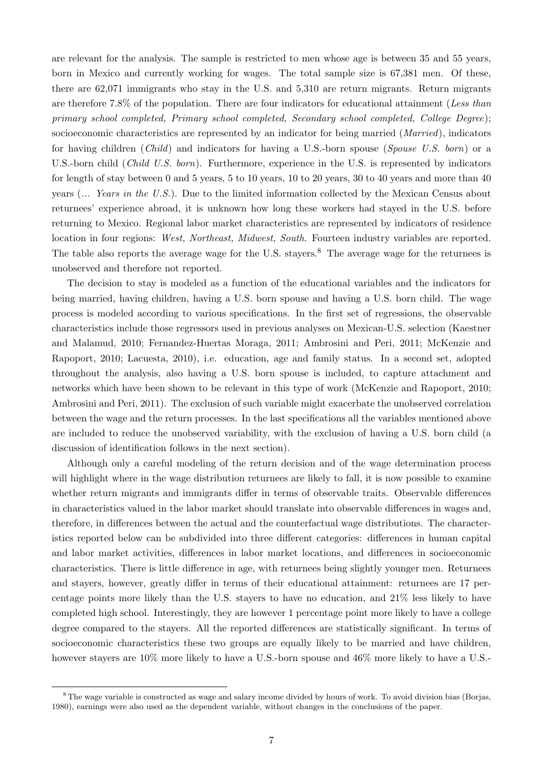are relevant for the analysis. The sample is restricted to men whose age is between 35 and 55 years, born in Mexico and currently working for wages. The total sample size is 67,381 men. Of these, there are 62,071 immigrants who stay in the U.S. and 5,310 are return migrants. Return migrants are therefore 7.8% of the population. There are four indicators for educational attainment (Less than primary school completed, Primary school completed, Secondary school completed, College Degree); socioeconomic characteristics are represented by an indicator for being married (*Married*), indicators for having children (Child) and indicators for having a U.S.-born spouse (Spouse U.S. born) or a U.S.-born child (Child U.S. born). Furthermore, experience in the U.S. is represented by indicators for length of stay between 0 and 5 years, 5 to 10 years, 10 to 20 years, 30 to 40 years and more than 40 years (... Years in the U.S.). Due to the limited information collected by the Mexican Census about returnees' experience abroad, it is unknown how long these workers had stayed in the U.S. before returning to Mexico. Regional labor market characteristics are represented by indicators of residence location in four regions: West, Northeast, Midwest, South. Fourteen industry variables are reported. The table also reports the average wage for the U.S. stayers.<sup>8</sup> The average wage for the returnees is unobserved and therefore not reported.

The decision to stay is modeled as a function of the educational variables and the indicators for being married, having children, having a U.S. born spouse and having a U.S. born child. The wage process is modeled according to various specifications. In the first set of regressions, the observable characteristics include those regressors used in previous analyses on Mexican-U.S. selection [\(Kaestner](#page-38-4) [and Malamud,](#page-38-4) [2010;](#page-38-4) [Fernandez-Huertas Moraga,](#page-38-5) [2011;](#page-38-5) [Ambrosini and Peri,](#page-37-3) [2011;](#page-37-3) [McKenzie and](#page-38-6) [Rapoport,](#page-38-6) [2010;](#page-38-6) [Lacuesta,](#page-38-3) [2010\)](#page-38-3), i.e. education, age and family status. In a second set, adopted throughout the analysis, also having a U.S. born spouse is included, to capture attachment and networks which have been shown to be relevant in this type of work [\(McKenzie and Rapoport,](#page-38-6) [2010;](#page-38-6) [Ambrosini and Peri,](#page-37-3) [2011\)](#page-37-3). The exclusion of such variable might exacerbate the unobserved correlation between the wage and the return processes. In the last specifications all the variables mentioned above are included to reduce the unobserved variability, with the exclusion of having a U.S. born child (a discussion of identification follows in the next section).

Although only a careful modeling of the return decision and of the wage determination process will highlight where in the wage distribution returnees are likely to fall, it is now possible to examine whether return migrants and immigrants differ in terms of observable traits. Observable differences in characteristics valued in the labor market should translate into observable differences in wages and, therefore, in differences between the actual and the counterfactual wage distributions. The characteristics reported below can be subdivided into three different categories: differences in human capital and labor market activities, differences in labor market locations, and differences in socioeconomic characteristics. There is little difference in age, with returnees being slightly younger men. Returnees and stayers, however, greatly differ in terms of their educational attainment: returnees are 17 percentage points more likely than the U.S. stayers to have no education, and 21% less likely to have completed high school. Interestingly, they are however 1 percentage point more likely to have a college degree compared to the stayers. All the reported differences are statistically significant. In terms of socioeconomic characteristics these two groups are equally likely to be married and have children, however stayers are  $10\%$  more likely to have a U.S.-born spouse and  $46\%$  more likely to have a U.S.-

<sup>&</sup>lt;sup>8</sup> The wage variable is constructed as wage and salary income divided by hours of work. To avoid division bias [\(Borjas,](#page-37-12) [1980\)](#page-37-12), earnings were also used as the dependent variable, without changes in the conclusions of the paper.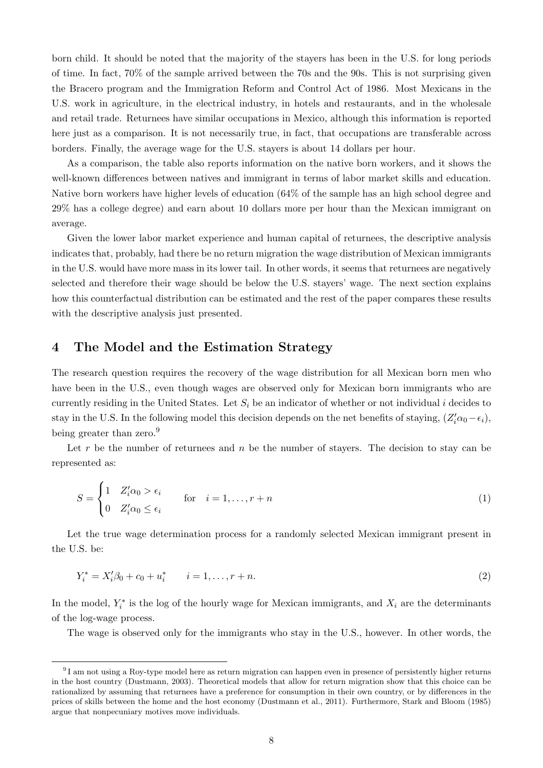born child. It should be noted that the majority of the stayers has been in the U.S. for long periods of time. In fact, 70% of the sample arrived between the 70s and the 90s. This is not surprising given the Bracero program and the Immigration Reform and Control Act of 1986. Most Mexicans in the U.S. work in agriculture, in the electrical industry, in hotels and restaurants, and in the wholesale and retail trade. Returnees have similar occupations in Mexico, although this information is reported here just as a comparison. It is not necessarily true, in fact, that occupations are transferable across borders. Finally, the average wage for the U.S. stayers is about 14 dollars per hour.

As a comparison, the table also reports information on the native born workers, and it shows the well-known differences between natives and immigrant in terms of labor market skills and education. Native born workers have higher levels of education (64% of the sample has an high school degree and 29% has a college degree) and earn about 10 dollars more per hour than the Mexican immigrant on average.

Given the lower labor market experience and human capital of returnees, the descriptive analysis indicates that, probably, had there be no return migration the wage distribution of Mexican immigrants in the U.S. would have more mass in its lower tail. In other words, it seems that returnees are negatively selected and therefore their wage should be below the U.S. stayers' wage. The next section explains how this counterfactual distribution can be estimated and the rest of the paper compares these results with the descriptive analysis just presented.

### 4 The Model and the Estimation Strategy

The research question requires the recovery of the wage distribution for all Mexican born men who have been in the U.S., even though wages are observed only for Mexican born immigrants who are currently residing in the United States. Let  $S_i$  be an indicator of whether or not individual i decides to stay in the U.S. In the following model this decision depends on the net benefits of staying,  $(Z_i'\alpha_0-\epsilon_i)$ , being greater than zero.<sup>9</sup>

Let r be the number of returnees and n be the number of stayers. The decision to stay can be represented as:

<span id="page-7-0"></span>
$$
S = \begin{cases} 1 & Z_i' \alpha_0 > \epsilon_i \\ 0 & Z_i' \alpha_0 \le \epsilon_i \end{cases} \quad \text{for} \quad i = 1, \dots, r + n \tag{1}
$$

Let the true wage determination process for a randomly selected Mexican immigrant present in the U.S. be:

<span id="page-7-1"></span>
$$
Y_i^* = X_i'\beta_0 + c_0 + u_i^* \qquad i = 1, \dots, r + n. \tag{2}
$$

In the model,  $Y_i^*$  is the log of the hourly wage for Mexican immigrants, and  $X_i$  are the determinants of the log-wage process.

The wage is observed only for the immigrants who stay in the U.S., however. In other words, the

 $91$  am not using a Roy-type model here as return migration can happen even in presence of persistently higher returns in the host country [\(Dustmann,](#page-37-13) [2003\)](#page-37-13). Theoretical models that allow for return migration show that this choice can be rationalized by assuming that returnees have a preference for consumption in their own country, or by differences in the prices of skills between the home and the host economy [\(Dustmann et al.,](#page-37-14) [2011\)](#page-37-14). Furthermore, [Stark and Bloom](#page-39-4) [\(1985\)](#page-39-4) argue that nonpecuniary motives move individuals.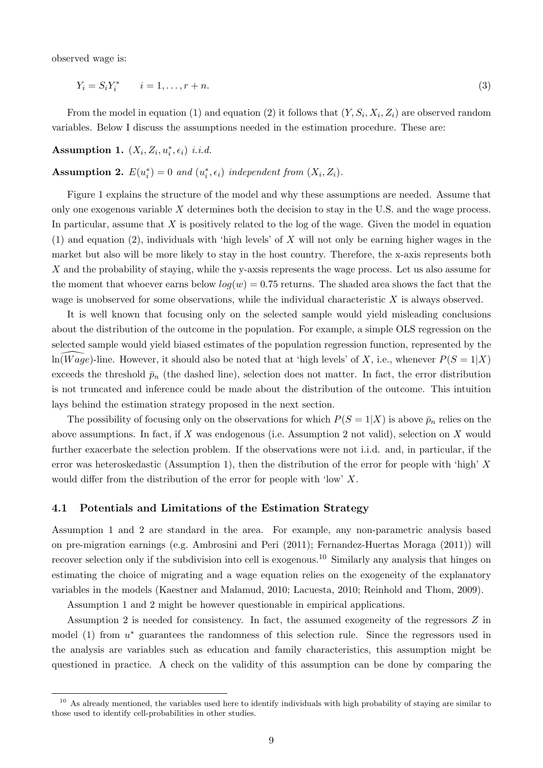observed wage is:

<span id="page-8-2"></span>
$$
Y_i = S_i Y_i^* \qquad i = 1, \dots, r + n. \tag{3}
$$

From the model in equation [\(1\)](#page-7-0) and equation [\(2\)](#page-7-1) it follows that  $(Y, S_i, X_i, Z_i)$  are observed random variables. Below I discuss the assumptions needed in the estimation procedure. These are:

<span id="page-8-1"></span>Assumption 1.  $(X_i, Z_i, u_i^*, \epsilon_i)$  i.i.d.

<span id="page-8-0"></span>**Assumption 2.**  $E(u_i^*) = 0$  and  $(u_i^*, \epsilon_i)$  independent from  $(X_i, Z_i)$ .

Figure [1](#page-32-0) explains the structure of the model and why these assumptions are needed. Assume that only one exogenous variable  $X$  determines both the decision to stay in the U.S. and the wage process. In particular, assume that X is positively related to the log of the wage. Given the model in equation [\(1\)](#page-7-0) and equation [\(2\)](#page-7-1), individuals with 'high levels' of X will not only be earning higher wages in the market but also will be more likely to stay in the host country. Therefore, the x-axis represents both X and the probability of staying, while the y-axsis represents the wage process. Let us also assume for the moment that whoever earns below  $log(w) = 0.75$  returns. The shaded area shows the fact that the wage is unobserved for some observations, while the individual characteristic  $X$  is always observed.

It is well known that focusing only on the selected sample would yield misleading conclusions about the distribution of the outcome in the population. For example, a simple OLS regression on the selected sample would yield biased estimates of the population regression function, represented by the  $ln(Wage)$ -line. However, it should also be noted that at 'high levels' of X, i.e., whenever  $P(S = 1|X)$ exceeds the threshold  $\bar{p}_n$  (the dashed line), selection does not matter. In fact, the error distribution is not truncated and inference could be made about the distribution of the outcome. This intuition lays behind the estimation strategy proposed in the next section.

The possibility of focusing only on the observations for which  $P(S = 1|X)$  is above  $\bar{p}_n$  relies on the above assumptions. In fact, if X was endogenous (i.e. Assumption [2](#page-8-0) not valid), selection on X would further exacerbate the selection problem. If the observations were not i.i.d. and, in particular, if the error was heteroskedastic (Assumption [1\)](#page-8-1), then the distribution of the error for people with 'high' X would differ from the distribution of the error for people with 'low' X.

### 4.1 Potentials and Limitations of the Estimation Strategy

Assumption [1](#page-8-1) and [2](#page-8-0) are standard in the area. For example, any non-parametric analysis based on pre-migration earnings (e.g. [Ambrosini and Peri](#page-37-3) [\(2011\)](#page-37-3); [Fernandez-Huertas Moraga](#page-38-5) [\(2011\)](#page-38-5)) will recover selection only if the subdivision into cell is exogenous.<sup>10</sup> Similarly any analysis that hinges on estimating the choice of migrating and a wage equation relies on the exogeneity of the explanatory variables in the models [\(Kaestner and Malamud,](#page-38-4) [2010;](#page-38-4) [Lacuesta,](#page-38-3) [2010;](#page-38-3) [Reinhold and Thom,](#page-39-0) [2009\)](#page-39-0).

Assumption [1](#page-8-1) and [2](#page-8-0) might be however questionable in empirical applications.

Assumption [2](#page-8-0) is needed for consistency. In fact, the assumed exogeneity of the regressors Z in model  $(1)$  from  $u^*$  guarantees the randomness of this selection rule. Since the regressors used in the analysis are variables such as education and family characteristics, this assumption might be questioned in practice. A check on the validity of this assumption can be done by comparing the

 $10$  As already mentioned, the variables used here to identify individuals with high probability of staying are similar to those used to identify cell-probabilities in other studies.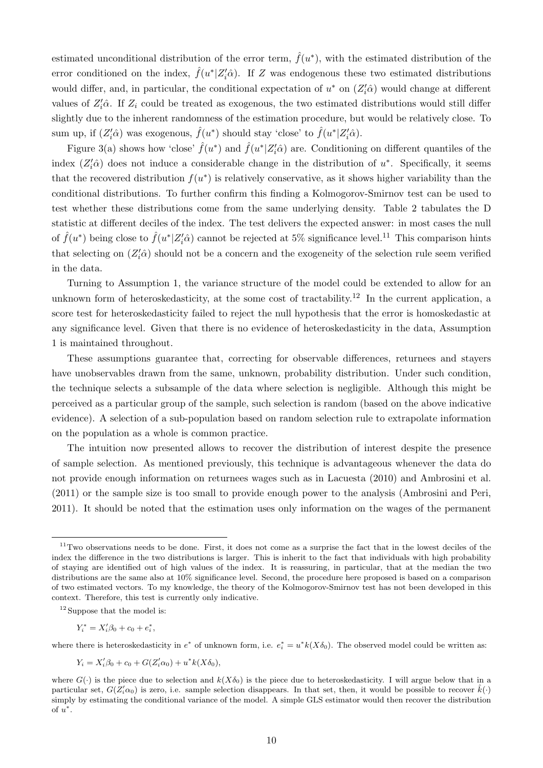estimated unconditional distribution of the error term,  $\hat{f}(u^*)$ , with the estimated distribution of the error conditioned on the index,  $\hat{f}(u^* | Z_i' \hat{\alpha})$ . If Z was endogenous these two estimated distributions would differ, and, in particular, the conditional expectation of  $u^*$  on  $(Z_i^{\prime}\hat{\alpha})$  would change at different values of  $Z_i' \hat{\alpha}$ . If  $Z_i$  could be treated as exogenous, the two estimated distributions would still differ slightly due to the inherent randomness of the estimation procedure, but would be relatively close. To sum up, if  $(Z_i'\hat{\alpha})$  was exogenous,  $\hat{f}(u^*)$  should stay 'close' to  $\hat{f}(u^*|Z_i'\hat{\alpha})$ .

Figure 3(a) shows how 'close'  $\hat{f}(u^*)$  and  $\hat{f}(u^*|Z'_i\hat{\alpha})$  are. Conditioning on different quantiles of the index  $(Z_i'\hat{\alpha})$  does not induce a considerable change in the distribution of  $u^*$ . Specifically, it seems that the recovered distribution  $f(u^*)$  is relatively conservative, as it shows higher variability than the conditional distributions. To further confirm this finding a Kolmogorov-Smirnov test can be used to test whether these distributions come from the same underlying density. Table [2](#page-23-0) tabulates the D statistic at different deciles of the index. The test delivers the expected answer: in most cases the null of  $\hat{f}(u^*)$  being close to  $\hat{f}(u^*|Z'_i\hat{\alpha})$  cannot be rejected at 5% significance level.<sup>11</sup> This comparison hints that selecting on  $(Z_i' \hat{\alpha})$  should not be a concern and the exogeneity of the selection rule seem verified in the data.

Turning to Assumption [1,](#page-8-1) the variance structure of the model could be extended to allow for an unknown form of heteroskedasticity, at the some cost of tractability.<sup>12</sup> In the current application, a score test for heteroskedasticity failed to reject the null hypothesis that the error is homoskedastic at any significance level. Given that there is no evidence of heteroskedasticity in the data, Assumption [1](#page-8-1) is maintained throughout.

These assumptions guarantee that, correcting for observable differences, returnees and stayers have unobservables drawn from the same, unknown, probability distribution. Under such condition, the technique selects a subsample of the data where selection is negligible. Although this might be perceived as a particular group of the sample, such selection is random (based on the above indicative evidence). A selection of a sub-population based on random selection rule to extrapolate information on the population as a whole is common practice.

The intuition now presented allows to recover the distribution of interest despite the presence of sample selection. As mentioned previously, this technique is advantageous whenever the data do not provide enough information on returnees wages such as in [Lacuesta](#page-38-3) [\(2010\)](#page-38-3) and [Ambrosini et al.](#page-37-9) [\(2011\)](#page-37-9) or the sample size is too small to provide enough power to the analysis [\(Ambrosini and Peri,](#page-37-3) [2011\)](#page-37-3). It should be noted that the estimation uses only information on the wages of the permanent

$$
Y_i^* = X_i' \beta_0 + c_0 + e_i^*,
$$

where there is heteroskedasticity in  $e^*$  of unknown form, i.e.  $e_i^* = u^* k(X \delta_0)$ . The observed model could be written as:

$$
Y_i = X_i'\beta_0 + c_0 + G(Z_i'\alpha_0) + u^*k(X\delta_0),
$$

 $11$ Two observations needs to be done. First, it does not come as a surprise the fact that in the lowest deciles of the index the difference in the two distributions is larger. This is inherit to the fact that individuals with high probability of staying are identified out of high values of the index. It is reassuring, in particular, that at the median the two distributions are the same also at 10% significance level. Second, the procedure here proposed is based on a comparison of two estimated vectors. To my knowledge, the theory of the Kolmogorov-Smirnov test has not been developed in this context. Therefore, this test is currently only indicative.

<sup>&</sup>lt;sup>12</sup> Suppose that the model is:

where  $G(\cdot)$  is the piece due to selection and  $k(X\delta_0)$  is the piece due to heteroskedasticity. I will argue below that in a particular set,  $G(Z_i'\alpha_0)$  is zero, i.e. sample selection disappears. In that set, then, it would be possible to recover  $\hat{k}(\cdot)$ simply by estimating the conditional variance of the model. A simple GLS estimator would then recover the distribution of  $u^*$ .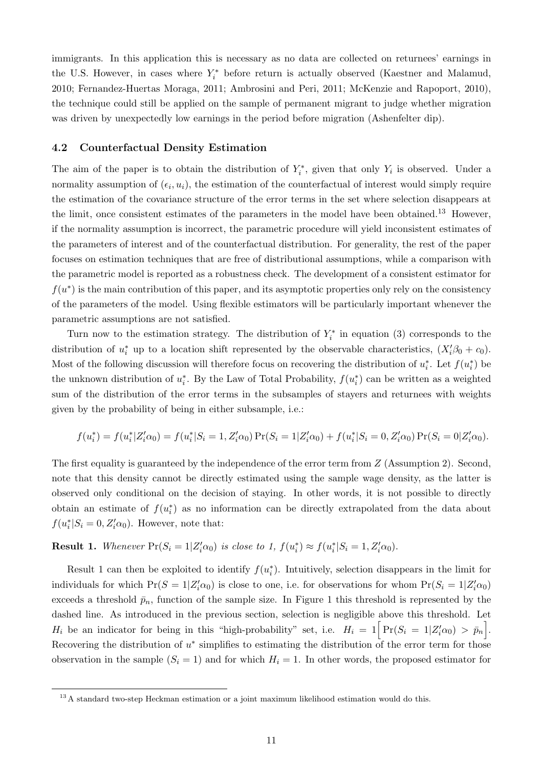immigrants. In this application this is necessary as no data are collected on returnees' earnings in the U.S. However, in cases where  $Y_i^*$  before return is actually observed [\(Kaestner and Malamud,](#page-38-4) [2010;](#page-38-4) [Fernandez-Huertas Moraga,](#page-38-5) [2011;](#page-38-5) [Ambrosini and Peri,](#page-37-3) [2011;](#page-37-3) [McKenzie and Rapoport,](#page-38-6) [2010\)](#page-38-6), the technique could still be applied on the sample of permanent migrant to judge whether migration was driven by unexpectedly low earnings in the period before migration (Ashenfelter dip).

### 4.2 Counterfactual Density Estimation

The aim of the paper is to obtain the distribution of  $Y_i^*$ , given that only  $Y_i$  is observed. Under a normality assumption of  $(\epsilon_i, u_i)$ , the estimation of the counterfactual of interest would simply require the estimation of the covariance structure of the error terms in the set where selection disappears at the limit, once consistent estimates of the parameters in the model have been obtained.<sup>13</sup> However, if the normality assumption is incorrect, the parametric procedure will yield inconsistent estimates of the parameters of interest and of the counterfactual distribution. For generality, the rest of the paper focuses on estimation techniques that are free of distributional assumptions, while a comparison with the parametric model is reported as a robustness check. The development of a consistent estimator for  $f(u^*)$  is the main contribution of this paper, and its asymptotic properties only rely on the consistency of the parameters of the model. Using flexible estimators will be particularly important whenever the parametric assumptions are not satisfied.

Turn now to the estimation strategy. The distribution of  $Y_i^*$  in equation [\(3\)](#page-8-2) corresponds to the distribution of  $u_i^*$  up to a location shift represented by the observable characteristics,  $(X_i'\beta_0 + c_0)$ . Most of the following discussion will therefore focus on recovering the distribution of  $u_i^*$ . Let  $f(u_i^*)$  be the unknown distribution of  $u_i^*$ . By the Law of Total Probability,  $f(u_i^*)$  can be written as a weighted sum of the distribution of the error terms in the subsamples of stayers and returnees with weights given by the probability of being in either subsample, i.e.:

$$
f(u_i^*) = f(u_i^* | Z_i' \alpha_0) = f(u_i^* | S_i = 1, Z_i' \alpha_0) \Pr(S_i = 1 | Z_i' \alpha_0) + f(u_i^* | S_i = 0, Z_i' \alpha_0) \Pr(S_i = 0 | Z_i' \alpha_0).
$$

The first equality is guaranteed by the independence of the error term from Z (Assumption [2\)](#page-8-0). Second, note that this density cannot be directly estimated using the sample wage density, as the latter is observed only conditional on the decision of staying. In other words, it is not possible to directly obtain an estimate of  $f(u_i^*)$  as no information can be directly extrapolated from the data about  $f(u_i^*|S_i=0, Z_i'\alpha_0)$ . However, note that:

## <span id="page-10-0"></span>**Result 1.** Whenever  $Pr(S_i = 1 | Z_i' \alpha_0)$  is close to 1,  $f(u_i^*) \approx f(u_i^* | S_i = 1, Z_i' \alpha_0)$ .

Result [1](#page-10-0) can then be exploited to identify  $f(u_i^*)$ . Intuitively, selection disappears in the limit for individuals for which  $Pr(S = 1 | Z_i' \alpha_0)$  is close to one, i.e. for observations for whom  $Pr(S_i = 1 | Z_i' \alpha_0)$ exceeds a threshold  $\bar{p}_n$ , function of the sample size. In Figure [1](#page-32-0) this threshold is represented by the dashed line. As introduced in the previous section, selection is negligible above this threshold. Let  $H_i$  be an indicator for being in this "high-probability" set, i.e.  $H_i = 1 \Big[ Pr(S_i = 1 | Z_i' \alpha_0) > \bar{p}_n \Big]$ . Recovering the distribution of  $u^*$  simplifies to estimating the distribution of the error term for those observation in the sample  $(S_i = 1)$  and for which  $H_i = 1$ . In other words, the proposed estimator for

<sup>&</sup>lt;sup>13</sup> A standard two-step Heckman estimation or a joint maximum likelihood estimation would do this.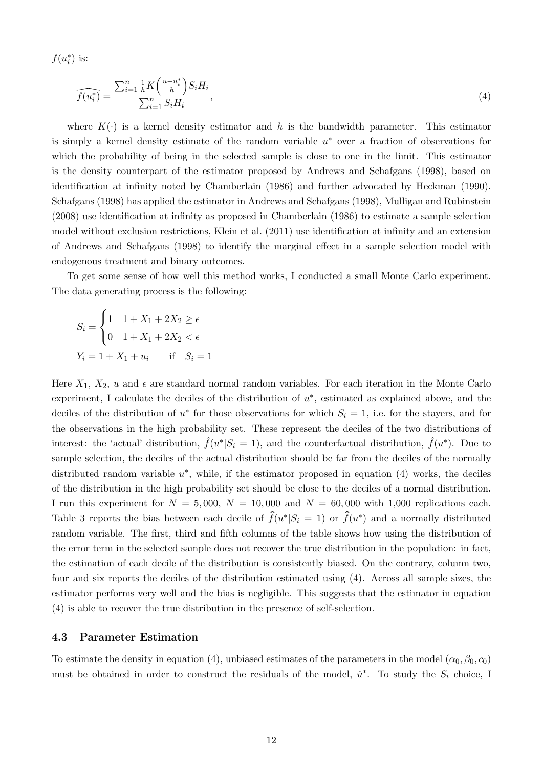$f(u_i^*)$  is:

<span id="page-11-0"></span>
$$
\widehat{f(u_i^*)} = \frac{\sum_{i=1}^n \frac{1}{h} K\left(\frac{u - u_i^*}{h}\right) S_i H_i}{\sum_{i=1}^n S_i H_i},\tag{4}
$$

where  $K(\cdot)$  is a kernel density estimator and h is the bandwidth parameter. This estimator is simply a kernel density estimate of the random variable  $u^*$  over a fraction of observations for which the probability of being in the selected sample is close to one in the limit. This estimator is the density counterpart of the estimator proposed by [Andrews and Schafgans](#page-37-1) [\(1998\)](#page-37-1), based on identification at infinity noted by [Chamberlain](#page-37-11) [\(1986\)](#page-37-11) and further advocated by [Heckman](#page-38-11) [\(1990\)](#page-38-11). [Schafgans](#page-39-3) [\(1998\)](#page-39-3) has applied the estimator in [Andrews and Schafgans](#page-37-1) [\(1998\)](#page-37-1), [Mulligan and Rubinstein](#page-38-13) [\(2008\)](#page-38-13) use identification at infinity as proposed in [Chamberlain](#page-37-11) [\(1986\)](#page-37-11) to estimate a sample selection model without exclusion restrictions, [Klein et al.](#page-38-12) [\(2011\)](#page-38-12) use identification at infinity and an extension of [Andrews and Schafgans](#page-37-1) [\(1998\)](#page-37-1) to identify the marginal effect in a sample selection model with endogenous treatment and binary outcomes.

To get some sense of how well this method works, I conducted a small Monte Carlo experiment. The data generating process is the following:

$$
S_i = \begin{cases} 1 & 1 + X_1 + 2X_2 \ge \epsilon \\ 0 & 1 + X_1 + 2X_2 < \epsilon \end{cases}
$$
  

$$
Y_i = 1 + X_1 + u_i \quad \text{if} \quad S_i = 1
$$

Here  $X_1, X_2, u$  and  $\epsilon$  are standard normal random variables. For each iteration in the Monte Carlo experiment, I calculate the deciles of the distribution of  $u^*$ , estimated as explained above, and the deciles of the distribution of  $u^*$  for those observations for which  $S_i = 1$ , i.e. for the stayers, and for the observations in the high probability set. These represent the deciles of the two distributions of interest: the 'actual' distribution,  $\hat{f}(u^* | S_i = 1)$ , and the counterfactual distribution,  $\hat{f}(u^*)$ . Due to sample selection, the deciles of the actual distribution should be far from the deciles of the normally distributed random variable  $u^*$ , while, if the estimator proposed in equation [\(4\)](#page-11-0) works, the deciles of the distribution in the high probability set should be close to the deciles of a normal distribution. I run this experiment for  $N = 5,000$ ,  $N = 10,000$  and  $N = 60,000$  with 1,000 replications each. Table [3](#page-23-1) reports the bias between each decile of  $\hat{f}(u^*|S_i = 1)$  or  $\hat{f}(u^*)$  and a normally distributed random variable. The first, third and fifth columns of the table shows how using the distribution of the error term in the selected sample does not recover the true distribution in the population: in fact, the estimation of each decile of the distribution is consistently biased. On the contrary, column two, four and six reports the deciles of the distribution estimated using [\(4\)](#page-11-0). Across all sample sizes, the estimator performs very well and the bias is negligible. This suggests that the estimator in equation [\(4\)](#page-11-0) is able to recover the true distribution in the presence of self-selection.

### 4.3 Parameter Estimation

To estimate the density in equation [\(4\)](#page-11-0), unbiased estimates of the parameters in the model  $(\alpha_0, \beta_0, c_0)$ must be obtained in order to construct the residuals of the model,  $\hat{u}^*$ . To study the  $S_i$  choice, I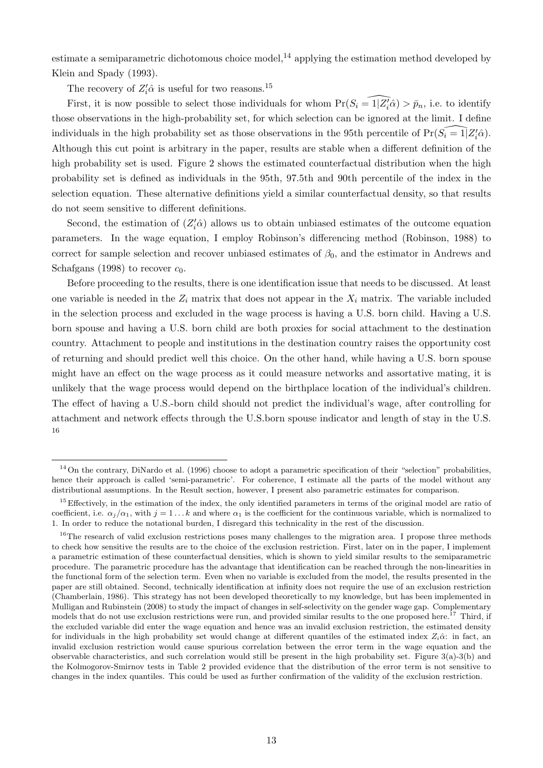estimate a semiparametric dichotomous choice model,<sup>14</sup> applying the estimation method developed by [Klein and Spady](#page-38-14) [\(1993\)](#page-38-14).

The recovery of  $Z_i' \hat{\alpha}$  is useful for two reasons.<sup>15</sup>

First, it is now possible to select those individuals for whom  $Pr(S_i = \widehat{1|Z'_i\hat{\alpha}}) > \bar{p}_n$ , i.e. to identify those observations in the high-probability set, for which selection can be ignored at the limit. I define individuals in the high probability set as those observations in the 95th percentile of  $Pr(\widehat{S_i} = 1|Z'_i\hat{\alpha})$ . Although this cut point is arbitrary in the paper, results are stable when a different definition of the high probability set is used. Figure [2](#page-33-0) shows the estimated counterfactual distribution when the high probability set is defined as individuals in the 95th, 97.5th and 90th percentile of the index in the selection equation. These alternative definitions yield a similar counterfactual density, so that results do not seem sensitive to different definitions.

Second, the estimation of  $(Z_i'\hat{\alpha})$  allows us to obtain unbiased estimates of the outcome equation parameters. In the wage equation, I employ Robinson's differencing method [\(Robinson,](#page-39-5) [1988\)](#page-39-5) to correct for sample selection and recover unbiased estimates of  $\beta_0$ , and the estimator in [Andrews and](#page-37-1) [Schafgans](#page-37-1) [\(1998\)](#page-37-1) to recover  $c_0$ .

Before proceeding to the results, there is one identification issue that needs to be discussed. At least one variable is needed in the  $Z_i$  matrix that does not appear in the  $X_i$  matrix. The variable included in the selection process and excluded in the wage process is having a U.S. born child. Having a U.S. born spouse and having a U.S. born child are both proxies for social attachment to the destination country. Attachment to people and institutions in the destination country raises the opportunity cost of returning and should predict well this choice. On the other hand, while having a U.S. born spouse might have an effect on the wage process as it could measure networks and assortative mating, it is unlikely that the wage process would depend on the birthplace location of the individual's children. The effect of having a U.S.-born child should not predict the individual's wage, after controlling for attachment and network effects through the U.S.born spouse indicator and length of stay in the U.S. 16

 $14$  On the contrary, [DiNardo et al.](#page-37-10) [\(1996\)](#page-37-10) choose to adopt a parametric specification of their "selection" probabilities, hence their approach is called 'semi-parametric'. For coherence, I estimate all the parts of the model without any distributional assumptions. In the Result section, however, I present also parametric estimates for comparison.

<sup>&</sup>lt;sup>15</sup> Effectively, in the estimation of the index, the only identified parameters in terms of the original model are ratio of coefficient, i.e.  $\alpha_j/\alpha_1$ , with  $j = 1...k$  and where  $\alpha_1$  is the coefficient for the continuous variable, which is normalized to 1. In order to reduce the notational burden, I disregard this technicality in the rest of the discussion.

<sup>&</sup>lt;sup>16</sup>The research of valid exclusion restrictions poses many challenges to the migration area. I propose three methods to check how sensitive the results are to the choice of the exclusion restriction. First, later on in the paper, I implement a parametric estimation of these counterfactual densities, which is shown to yield similar results to the semiparametric procedure. The parametric procedure has the advantage that identification can be reached through the non-linearities in the functional form of the selection term. Even when no variable is excluded from the model, the results presented in the paper are still obtained. Second, technically identification at infinity does not require the use of an exclusion restriction [\(Chamberlain,](#page-37-11) [1986\)](#page-37-11). This strategy has not been developed theoretically to my knowledge, but has been implemented in [Mulligan and Rubinstein](#page-38-13) [\(2008\)](#page-38-13) to study the impact of changes in self-selectivity on the gender wage gap. Complementary models that do not use exclusion restrictions were run, and provided similar results to the one proposed here.<sup>17</sup> Third, if the excluded variable did enter the wage equation and hence was an invalid exclusion restriction, the estimated density for individuals in the high probability set would change at different quantiles of the estimated index  $Z_i\hat{\alpha}$ : in fact, an invalid exclusion restriction would cause spurious correlation between the error term in the wage equation and the observable characteristics, and such correlation would still be present in the high probability set. Figure 3(a)-3(b) and the Kolmogorov-Smirnov tests in Table [2](#page-23-0) provided evidence that the distribution of the error term is not sensitive to changes in the index quantiles. This could be used as further confirmation of the validity of the exclusion restriction.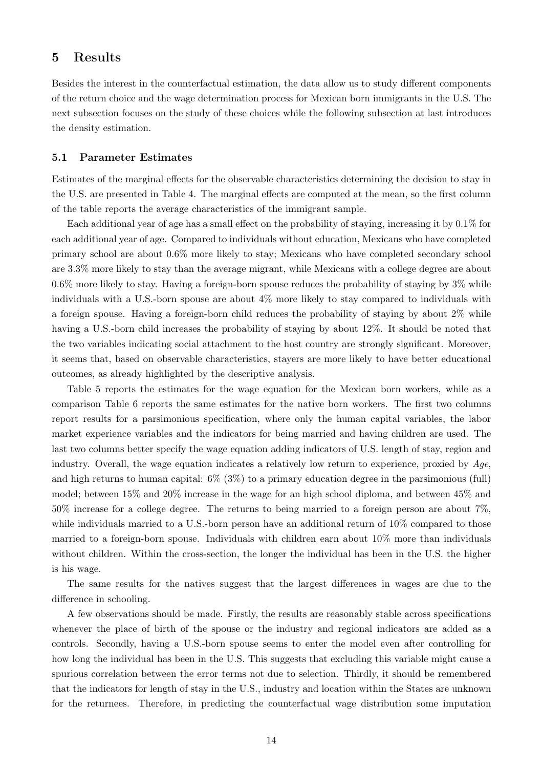## 5 Results

Besides the interest in the counterfactual estimation, the data allow us to study different components of the return choice and the wage determination process for Mexican born immigrants in the U.S. The next subsection focuses on the study of these choices while the following subsection at last introduces the density estimation.

### 5.1 Parameter Estimates

Estimates of the marginal effects for the observable characteristics determining the decision to stay in the U.S. are presented in Table [4.](#page-24-0) The marginal effects are computed at the mean, so the first column of the table reports the average characteristics of the immigrant sample.

Each additional year of age has a small effect on the probability of staying, increasing it by 0.1% for each additional year of age. Compared to individuals without education, Mexicans who have completed primary school are about 0.6% more likely to stay; Mexicans who have completed secondary school are 3.3% more likely to stay than the average migrant, while Mexicans with a college degree are about 0.6% more likely to stay. Having a foreign-born spouse reduces the probability of staying by 3% while individuals with a U.S.-born spouse are about 4% more likely to stay compared to individuals with a foreign spouse. Having a foreign-born child reduces the probability of staying by about 2% while having a U.S.-born child increases the probability of staying by about 12%. It should be noted that the two variables indicating social attachment to the host country are strongly significant. Moreover, it seems that, based on observable characteristics, stayers are more likely to have better educational outcomes, as already highlighted by the descriptive analysis.

Table [5](#page-25-0) reports the estimates for the wage equation for the Mexican born workers, while as a comparison Table [6](#page-26-0) reports the same estimates for the native born workers. The first two columns report results for a parsimonious specification, where only the human capital variables, the labor market experience variables and the indicators for being married and having children are used. The last two columns better specify the wage equation adding indicators of U.S. length of stay, region and industry. Overall, the wage equation indicates a relatively low return to experience, proxied by Age, and high returns to human capital: 6% (3%) to a primary education degree in the parsimonious (full) model; between 15% and 20% increase in the wage for an high school diploma, and between 45% and 50% increase for a college degree. The returns to being married to a foreign person are about 7%, while individuals married to a U.S.-born person have an additional return of 10% compared to those married to a foreign-born spouse. Individuals with children earn about 10% more than individuals without children. Within the cross-section, the longer the individual has been in the U.S. the higher is his wage.

The same results for the natives suggest that the largest differences in wages are due to the difference in schooling.

A few observations should be made. Firstly, the results are reasonably stable across specifications whenever the place of birth of the spouse or the industry and regional indicators are added as a controls. Secondly, having a U.S.-born spouse seems to enter the model even after controlling for how long the individual has been in the U.S. This suggests that excluding this variable might cause a spurious correlation between the error terms not due to selection. Thirdly, it should be remembered that the indicators for length of stay in the U.S., industry and location within the States are unknown for the returnees. Therefore, in predicting the counterfactual wage distribution some imputation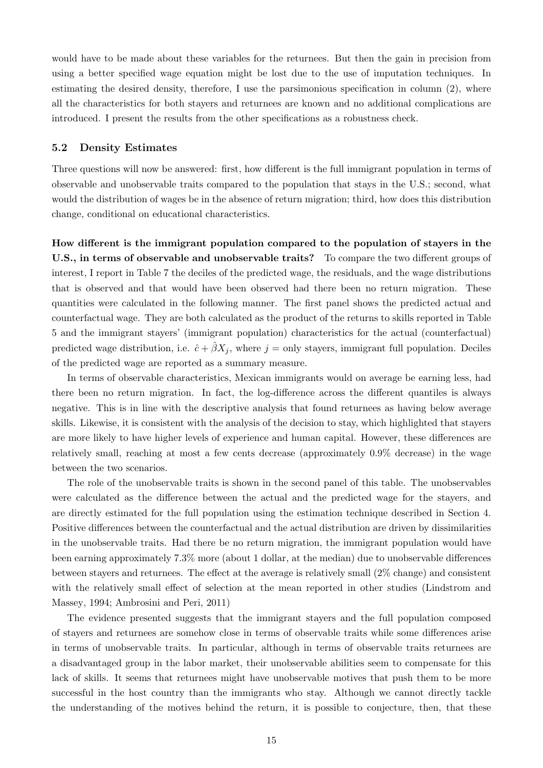would have to be made about these variables for the returnees. But then the gain in precision from using a better specified wage equation might be lost due to the use of imputation techniques. In estimating the desired density, therefore, I use the parsimonious specification in column (2), where all the characteristics for both stayers and returnees are known and no additional complications are introduced. I present the results from the other specifications as a robustness check.

#### 5.2 Density Estimates

Three questions will now be answered: first, how different is the full immigrant population in terms of observable and unobservable traits compared to the population that stays in the U.S.; second, what would the distribution of wages be in the absence of return migration; third, how does this distribution change, conditional on educational characteristics.

How different is the immigrant population compared to the population of stayers in the U.S., in terms of observable and unobservable traits? To compare the two different groups of interest, I report in Table [7](#page-27-0) the deciles of the predicted wage, the residuals, and the wage distributions that is observed and that would have been observed had there been no return migration. These quantities were calculated in the following manner. The first panel shows the predicted actual and counterfactual wage. They are both calculated as the product of the returns to skills reported in Table [5](#page-25-0) and the immigrant stayers' (immigrant population) characteristics for the actual (counterfactual) predicted wage distribution, i.e.  $\hat{c} + \hat{\beta} X_j$ , where  $j =$  only stayers, immigrant full population. Deciles of the predicted wage are reported as a summary measure.

In terms of observable characteristics, Mexican immigrants would on average be earning less, had there been no return migration. In fact, the log-difference across the different quantiles is always negative. This is in line with the descriptive analysis that found returnees as having below average skills. Likewise, it is consistent with the analysis of the decision to stay, which highlighted that stayers are more likely to have higher levels of experience and human capital. However, these differences are relatively small, reaching at most a few cents decrease (approximately 0.9% decrease) in the wage between the two scenarios.

The role of the unobservable traits is shown in the second panel of this table. The unobservables were calculated as the difference between the actual and the predicted wage for the stayers, and are directly estimated for the full population using the estimation technique described in Section 4. Positive differences between the counterfactual and the actual distribution are driven by dissimilarities in the unobservable traits. Had there be no return migration, the immigrant population would have been earning approximately 7.3% more (about 1 dollar, at the median) due to unobservable differences between stayers and returnees. The effect at the average is relatively small (2% change) and consistent with the relatively small effect of selection at the mean reported in other studies [\(Lindstrom and](#page-38-2) [Massey,](#page-38-2) [1994;](#page-38-2) [Ambrosini and Peri,](#page-37-3) [2011\)](#page-37-3)

The evidence presented suggests that the immigrant stayers and the full population composed of stayers and returnees are somehow close in terms of observable traits while some differences arise in terms of unobservable traits. In particular, although in terms of observable traits returnees are a disadvantaged group in the labor market, their unobservable abilities seem to compensate for this lack of skills. It seems that returnees might have unobservable motives that push them to be more successful in the host country than the immigrants who stay. Although we cannot directly tackle the understanding of the motives behind the return, it is possible to conjecture, then, that these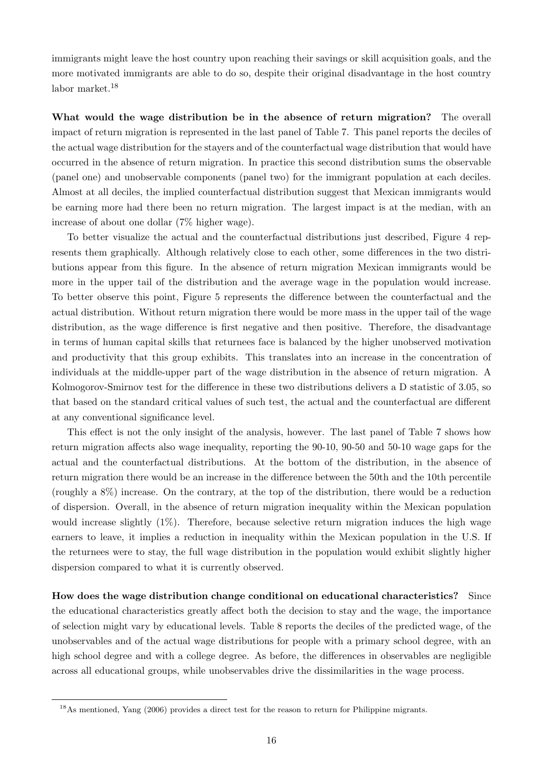immigrants might leave the host country upon reaching their savings or skill acquisition goals, and the more motivated immigrants are able to do so, despite their original disadvantage in the host country labor market.<sup>18</sup>

What would the wage distribution be in the absence of return migration? The overall impact of return migration is represented in the last panel of Table [7.](#page-27-0) This panel reports the deciles of the actual wage distribution for the stayers and of the counterfactual wage distribution that would have occurred in the absence of return migration. In practice this second distribution sums the observable (panel one) and unobservable components (panel two) for the immigrant population at each deciles. Almost at all deciles, the implied counterfactual distribution suggest that Mexican immigrants would be earning more had there been no return migration. The largest impact is at the median, with an increase of about one dollar (7% higher wage).

To better visualize the actual and the counterfactual distributions just described, Figure [4](#page-34-0) represents them graphically. Although relatively close to each other, some differences in the two distributions appear from this figure. In the absence of return migration Mexican immigrants would be more in the upper tail of the distribution and the average wage in the population would increase. To better observe this point, Figure [5](#page-34-1) represents the difference between the counterfactual and the actual distribution. Without return migration there would be more mass in the upper tail of the wage distribution, as the wage difference is first negative and then positive. Therefore, the disadvantage in terms of human capital skills that returnees face is balanced by the higher unobserved motivation and productivity that this group exhibits. This translates into an increase in the concentration of individuals at the middle-upper part of the wage distribution in the absence of return migration. A Kolmogorov-Smirnov test for the difference in these two distributions delivers a D statistic of 3.05, so that based on the standard critical values of such test, the actual and the counterfactual are different at any conventional significance level.

This effect is not the only insight of the analysis, however. The last panel of Table [7](#page-27-0) shows how return migration affects also wage inequality, reporting the 90-10, 90-50 and 50-10 wage gaps for the actual and the counterfactual distributions. At the bottom of the distribution, in the absence of return migration there would be an increase in the difference between the 50th and the 10th percentile (roughly a 8%) increase. On the contrary, at the top of the distribution, there would be a reduction of dispersion. Overall, in the absence of return migration inequality within the Mexican population would increase slightly (1%). Therefore, because selective return migration induces the high wage earners to leave, it implies a reduction in inequality within the Mexican population in the U.S. If the returnees were to stay, the full wage distribution in the population would exhibit slightly higher dispersion compared to what it is currently observed.

How does the wage distribution change conditional on educational characteristics? Since the educational characteristics greatly affect both the decision to stay and the wage, the importance of selection might vary by educational levels. Table [8](#page-28-0) reports the deciles of the predicted wage, of the unobservables and of the actual wage distributions for people with a primary school degree, with an high school degree and with a college degree. As before, the differences in observables are negligible across all educational groups, while unobservables drive the dissimilarities in the wage process.

<sup>&</sup>lt;sup>18</sup>As mentioned, [Yang](#page-39-6) [\(2006\)](#page-39-6) provides a direct test for the reason to return for Philippine migrants.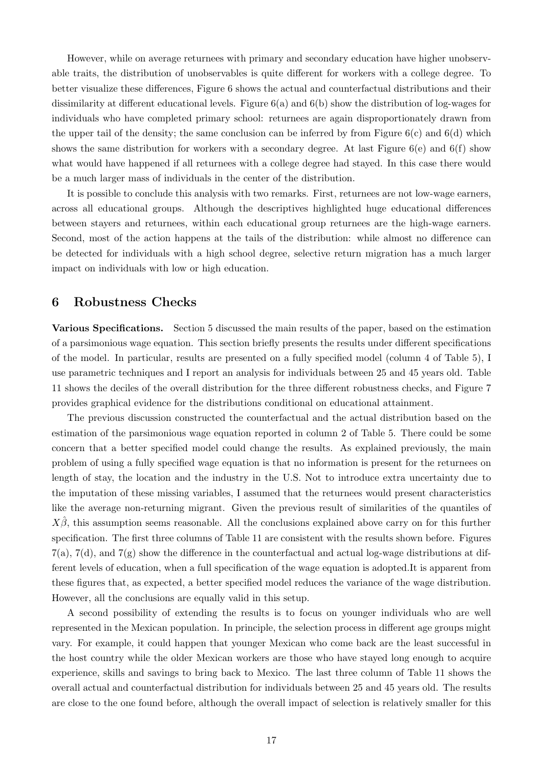However, while on average returnees with primary and secondary education have higher unobservable traits, the distribution of unobservables is quite different for workers with a college degree. To better visualize these differences, Figure [6](#page-35-0) shows the actual and counterfactual distributions and their dissimilarity at different educational levels. Figure 6(a) and 6(b) show the distribution of log-wages for individuals who have completed primary school: returnees are again disproportionately drawn from the upper tail of the density; the same conclusion can be inferred by from Figure  $6(c)$  and  $6(d)$  which shows the same distribution for workers with a secondary degree. At last Figure  $6(e)$  and  $6(f)$  show what would have happened if all returnees with a college degree had stayed. In this case there would be a much larger mass of individuals in the center of the distribution.

It is possible to conclude this analysis with two remarks. First, returnees are not low-wage earners, across all educational groups. Although the descriptives highlighted huge educational differences between stayers and returnees, within each educational group returnees are the high-wage earners. Second, most of the action happens at the tails of the distribution: while almost no difference can be detected for individuals with a high school degree, selective return migration has a much larger impact on individuals with low or high education.

## 6 Robustness Checks

Various Specifications. Section 5 discussed the main results of the paper, based on the estimation of a parsimonious wage equation. This section briefly presents the results under different specifications of the model. In particular, results are presented on a fully specified model (column 4 of Table [5\)](#page-25-0), I use parametric techniques and I report an analysis for individuals between 25 and 45 years old. Table [11](#page-31-0) shows the deciles of the overall distribution for the three different robustness checks, and Figure [7](#page-36-0) provides graphical evidence for the distributions conditional on educational attainment.

The previous discussion constructed the counterfactual and the actual distribution based on the estimation of the parsimonious wage equation reported in column 2 of Table [5.](#page-25-0) There could be some concern that a better specified model could change the results. As explained previously, the main problem of using a fully specified wage equation is that no information is present for the returnees on length of stay, the location and the industry in the U.S. Not to introduce extra uncertainty due to the imputation of these missing variables, I assumed that the returnees would present characteristics like the average non-returning migrant. Given the previous result of similarities of the quantiles of  $X\hat{\beta}$ , this assumption seems reasonable. All the conclusions explained above carry on for this further specification. The first three columns of Table [11](#page-31-0) are consistent with the results shown before. Figures  $7(a)$ ,  $7(d)$ , and  $7(g)$  show the difference in the counterfactual and actual log-wage distributions at different levels of education, when a full specification of the wage equation is adopted.It is apparent from these figures that, as expected, a better specified model reduces the variance of the wage distribution. However, all the conclusions are equally valid in this setup.

A second possibility of extending the results is to focus on younger individuals who are well represented in the Mexican population. In principle, the selection process in different age groups might vary. For example, it could happen that younger Mexican who come back are the least successful in the host country while the older Mexican workers are those who have stayed long enough to acquire experience, skills and savings to bring back to Mexico. The last three column of Table [11](#page-31-0) shows the overall actual and counterfactual distribution for individuals between 25 and 45 years old. The results are close to the one found before, although the overall impact of selection is relatively smaller for this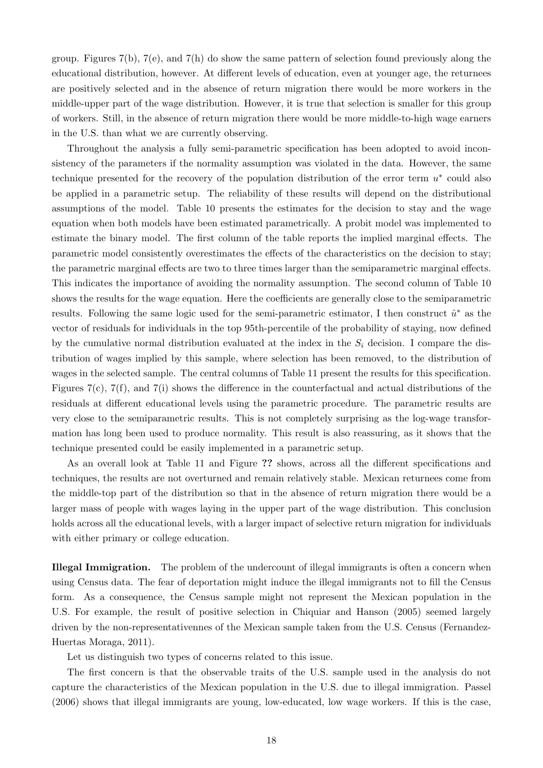group. Figures  $7(b)$ ,  $7(e)$ , and  $7(h)$  do show the same pattern of selection found previously along the educational distribution, however. At different levels of education, even at younger age, the returnees are positively selected and in the absence of return migration there would be more workers in the middle-upper part of the wage distribution. However, it is true that selection is smaller for this group of workers. Still, in the absence of return migration there would be more middle-to-high wage earners in the U.S. than what we are currently observing.

Throughout the analysis a fully semi-parametric specification has been adopted to avoid inconsistency of the parameters if the normality assumption was violated in the data. However, the same technique presented for the recovery of the population distribution of the error term  $u^*$  could also be applied in a parametric setup. The reliability of these results will depend on the distributional assumptions of the model. Table [10](#page-30-0) presents the estimates for the decision to stay and the wage equation when both models have been estimated parametrically. A probit model was implemented to estimate the binary model. The first column of the table reports the implied marginal effects. The parametric model consistently overestimates the effects of the characteristics on the decision to stay; the parametric marginal effects are two to three times larger than the semiparametric marginal effects. This indicates the importance of avoiding the normality assumption. The second column of Table [10](#page-30-0) shows the results for the wage equation. Here the coefficients are generally close to the semiparametric results. Following the same logic used for the semi-parametric estimator, I then construct  $\hat{u}^*$  as the vector of residuals for individuals in the top 95th-percentile of the probability of staying, now defined by the cumulative normal distribution evaluated at the index in the  $S_i$  decision. I compare the distribution of wages implied by this sample, where selection has been removed, to the distribution of wages in the selected sample. The central columns of Table [11](#page-31-0) present the results for this specification. Figures 7(c), 7(f), and 7(i) shows the difference in the counterfactual and actual distributions of the residuals at different educational levels using the parametric procedure. The parametric results are very close to the semiparametric results. This is not completely surprising as the log-wage transformation has long been used to produce normality. This result is also reassuring, as it shows that the technique presented could be easily implemented in a parametric setup.

As an overall look at Table [11](#page-31-0) and Figure ?? shows, across all the different specifications and techniques, the results are not overturned and remain relatively stable. Mexican returnees come from the middle-top part of the distribution so that in the absence of return migration there would be a larger mass of people with wages laying in the upper part of the wage distribution. This conclusion holds across all the educational levels, with a larger impact of selective return migration for individuals with either primary or college education.

Illegal Immigration. The problem of the undercount of illegal immigrants is often a concern when using Census data. The fear of deportation might induce the illegal immigrants not to fill the Census form. As a consequence, the Census sample might not represent the Mexican population in the U.S. For example, the result of positive selection in [Chiquiar and Hanson](#page-37-2) [\(2005\)](#page-37-2) seemed largely driven by the non-representativennes of the Mexican sample taken from the U.S. Census [\(Fernandez-](#page-38-5)[Huertas Moraga,](#page-38-5) [2011\)](#page-38-5).

Let us distinguish two types of concerns related to this issue.

The first concern is that the observable traits of the U.S. sample used in the analysis do not capture the characteristics of the Mexican population in the U.S. due to illegal immigration. [Passel](#page-38-15) [\(2006\)](#page-38-15) shows that illegal immigrants are young, low-educated, low wage workers. If this is the case,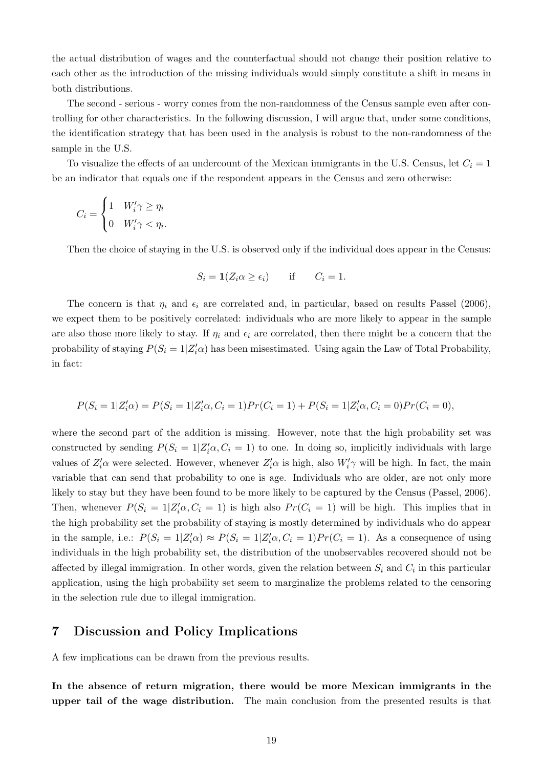the actual distribution of wages and the counterfactual should not change their position relative to each other as the introduction of the missing individuals would simply constitute a shift in means in both distributions.

The second - serious - worry comes from the non-randomness of the Census sample even after controlling for other characteristics. In the following discussion, I will argue that, under some conditions, the identification strategy that has been used in the analysis is robust to the non-randomness of the sample in the U.S.

To visualize the effects of an undercount of the Mexican immigrants in the U.S. Census, let  $C_i = 1$ be an indicator that equals one if the respondent appears in the Census and zero otherwise:

$$
C_i = \begin{cases} 1 & W'_i \gamma \ge \eta_i \\ 0 & W'_i \gamma < \eta_i. \end{cases}
$$

Then the choice of staying in the U.S. is observed only if the individual does appear in the Census:

$$
S_i = \mathbf{1}(Z_i \alpha \ge \epsilon_i) \quad \text{if} \quad C_i = 1.
$$

The concern is that  $\eta_i$  and  $\epsilon_i$  are correlated and, in particular, based on results [Passel](#page-38-15) [\(2006\)](#page-38-15), we expect them to be positively correlated: individuals who are more likely to appear in the sample are also those more likely to stay. If  $\eta_i$  and  $\epsilon_i$  are correlated, then there might be a concern that the probability of staying  $P(S_i = 1 | Z_i' \alpha)$  has been misestimated. Using again the Law of Total Probability, in fact:

$$
P(S_i = 1 | Z_i' \alpha) = P(S_i = 1 | Z_i' \alpha, C_i = 1) Pr(C_i = 1) + P(S_i = 1 | Z_i' \alpha, C_i = 0) Pr(C_i = 0),
$$

where the second part of the addition is missing. However, note that the high probability set was constructed by sending  $P(S_i = 1 | Z_i' \alpha, C_i = 1)$  to one. In doing so, implicitly individuals with large values of  $Z_i' \alpha$  were selected. However, whenever  $Z_i' \alpha$  is high, also  $W_i' \gamma$  will be high. In fact, the main variable that can send that probability to one is age. Individuals who are older, are not only more likely to stay but they have been found to be more likely to be captured by the Census [\(Passel,](#page-38-15) [2006\)](#page-38-15). Then, whenever  $P(S_i = 1 | Z_i' \alpha, C_i = 1)$  is high also  $Pr(C_i = 1)$  will be high. This implies that in the high probability set the probability of staying is mostly determined by individuals who do appear in the sample, i.e.:  $P(S_i = 1 | Z_i' \alpha) \approx P(S_i = 1 | Z_i' \alpha, C_i = 1) Pr(C_i = 1)$ . As a consequence of using individuals in the high probability set, the distribution of the unobservables recovered should not be affected by illegal immigration. In other words, given the relation between  $S_i$  and  $C_i$  in this particular application, using the high probability set seem to marginalize the problems related to the censoring in the selection rule due to illegal immigration.

### 7 Discussion and Policy Implications

A few implications can be drawn from the previous results.

In the absence of return migration, there would be more Mexican immigrants in the upper tail of the wage distribution. The main conclusion from the presented results is that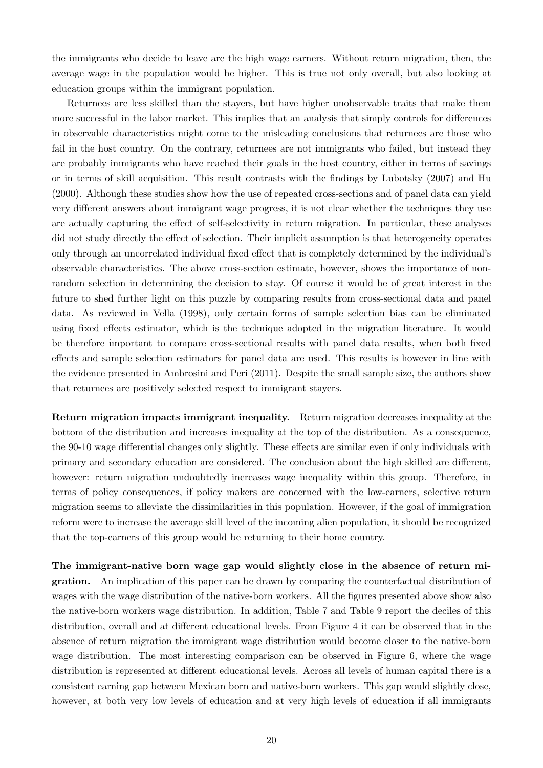the immigrants who decide to leave are the high wage earners. Without return migration, then, the average wage in the population would be higher. This is true not only overall, but also looking at education groups within the immigrant population.

Returnees are less skilled than the stayers, but have higher unobservable traits that make them more successful in the labor market. This implies that an analysis that simply controls for differences in observable characteristics might come to the misleading conclusions that returnees are those who fail in the host country. On the contrary, returnees are not immigrants who failed, but instead they are probably immigrants who have reached their goals in the host country, either in terms of savings or in terms of skill acquisition. This result contrasts with the findings by [Lubotsky](#page-38-1) [\(2007\)](#page-38-1) and [Hu](#page-38-0) [\(2000\)](#page-38-0). Although these studies show how the use of repeated cross-sections and of panel data can yield very different answers about immigrant wage progress, it is not clear whether the techniques they use are actually capturing the effect of self-selectivity in return migration. In particular, these analyses did not study directly the effect of selection. Their implicit assumption is that heterogeneity operates only through an uncorrelated individual fixed effect that is completely determined by the individual's observable characteristics. The above cross-section estimate, however, shows the importance of nonrandom selection in determining the decision to stay. Of course it would be of great interest in the future to shed further light on this puzzle by comparing results from cross-sectional data and panel data. As reviewed in [Vella](#page-39-7) [\(1998\)](#page-39-7), only certain forms of sample selection bias can be eliminated using fixed effects estimator, which is the technique adopted in the migration literature. It would be therefore important to compare cross-sectional results with panel data results, when both fixed effects and sample selection estimators for panel data are used. This results is however in line with the evidence presented in [Ambrosini and Peri](#page-37-3) [\(2011\)](#page-37-3). Despite the small sample size, the authors show that returnees are positively selected respect to immigrant stayers.

Return migration impacts immigrant inequality. Return migration decreases inequality at the bottom of the distribution and increases inequality at the top of the distribution. As a consequence, the 90-10 wage differential changes only slightly. These effects are similar even if only individuals with primary and secondary education are considered. The conclusion about the high skilled are different, however: return migration undoubtedly increases wage inequality within this group. Therefore, in terms of policy consequences, if policy makers are concerned with the low-earners, selective return migration seems to alleviate the dissimilarities in this population. However, if the goal of immigration reform were to increase the average skill level of the incoming alien population, it should be recognized that the top-earners of this group would be returning to their home country.

The immigrant-native born wage gap would slightly close in the absence of return migration. An implication of this paper can be drawn by comparing the counterfactual distribution of wages with the wage distribution of the native-born workers. All the figures presented above show also the native-born workers wage distribution. In addition, Table [7](#page-27-0) and Table [9](#page-29-0) report the deciles of this distribution, overall and at different educational levels. From Figure [4](#page-34-0) it can be observed that in the absence of return migration the immigrant wage distribution would become closer to the native-born wage distribution. The most interesting comparison can be observed in Figure [6,](#page-35-0) where the wage distribution is represented at different educational levels. Across all levels of human capital there is a consistent earning gap between Mexican born and native-born workers. This gap would slightly close, however, at both very low levels of education and at very high levels of education if all immigrants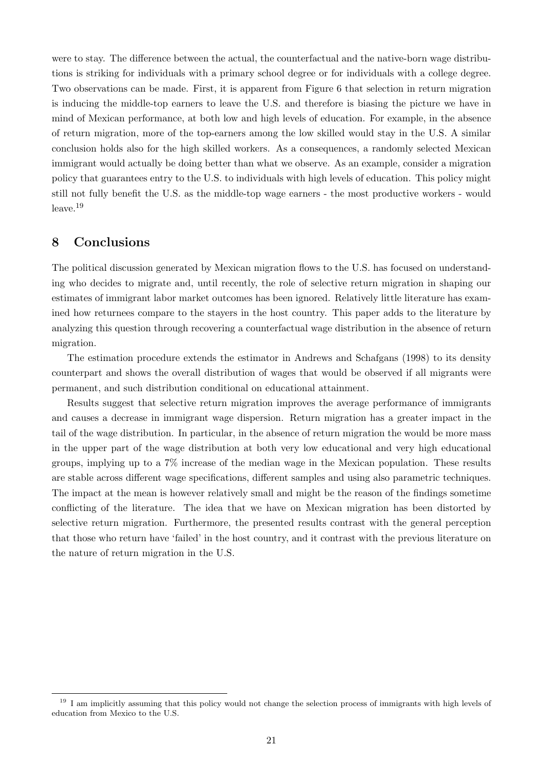were to stay. The difference between the actual, the counterfactual and the native-born wage distributions is striking for individuals with a primary school degree or for individuals with a college degree. Two observations can be made. First, it is apparent from Figure [6](#page-35-0) that selection in return migration is inducing the middle-top earners to leave the U.S. and therefore is biasing the picture we have in mind of Mexican performance, at both low and high levels of education. For example, in the absence of return migration, more of the top-earners among the low skilled would stay in the U.S. A similar conclusion holds also for the high skilled workers. As a consequences, a randomly selected Mexican immigrant would actually be doing better than what we observe. As an example, consider a migration policy that guarantees entry to the U.S. to individuals with high levels of education. This policy might still not fully benefit the U.S. as the middle-top wage earners - the most productive workers - would  $leave.<sup>19</sup>$ 

## 8 Conclusions

The political discussion generated by Mexican migration flows to the U.S. has focused on understanding who decides to migrate and, until recently, the role of selective return migration in shaping our estimates of immigrant labor market outcomes has been ignored. Relatively little literature has examined how returnees compare to the stayers in the host country. This paper adds to the literature by analyzing this question through recovering a counterfactual wage distribution in the absence of return migration.

The estimation procedure extends the estimator in [Andrews and Schafgans](#page-37-1) [\(1998\)](#page-37-1) to its density counterpart and shows the overall distribution of wages that would be observed if all migrants were permanent, and such distribution conditional on educational attainment.

Results suggest that selective return migration improves the average performance of immigrants and causes a decrease in immigrant wage dispersion. Return migration has a greater impact in the tail of the wage distribution. In particular, in the absence of return migration the would be more mass in the upper part of the wage distribution at both very low educational and very high educational groups, implying up to a 7% increase of the median wage in the Mexican population. These results are stable across different wage specifications, different samples and using also parametric techniques. The impact at the mean is however relatively small and might be the reason of the findings sometime conflicting of the literature. The idea that we have on Mexican migration has been distorted by selective return migration. Furthermore, the presented results contrast with the general perception that those who return have 'failed' in the host country, and it contrast with the previous literature on the nature of return migration in the U.S.

<sup>&</sup>lt;sup>19</sup> I am implicitly assuming that this policy would not change the selection process of immigrants with high levels of education from Mexico to the U.S.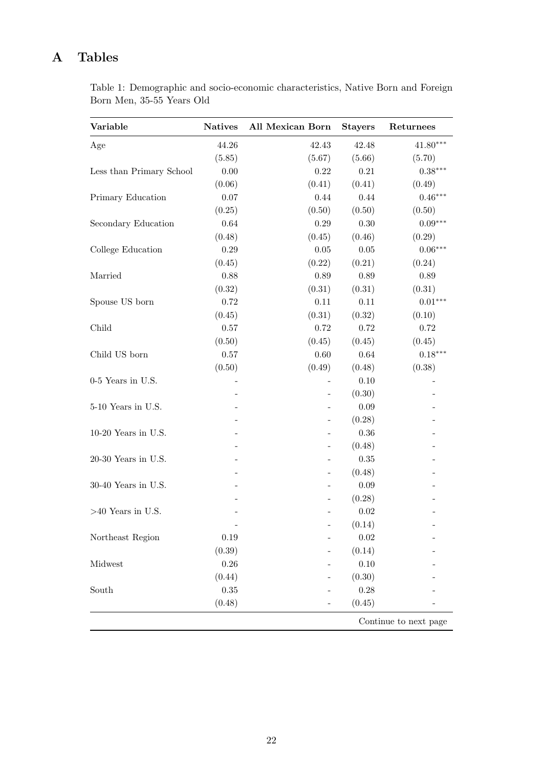# <span id="page-21-0"></span>A Tables

Table 1: Demographic and socio-economic characteristics, Native Born and Foreign Born Men, 35-55 Years Old

| Variable                 | <b>Natives</b> | <b>All Mexican Born</b> | <b>Stayers</b> | Returnees  |  |  |
|--------------------------|----------------|-------------------------|----------------|------------|--|--|
| Age                      | 44.26          | 42.43                   | 42.48          | $41.80***$ |  |  |
|                          | (5.85)         | (5.67)                  | (5.66)         | (5.70)     |  |  |
| Less than Primary School | 0.00           | 0.22                    | 0.21           | $0.38***$  |  |  |
|                          | (0.06)         | (0.41)                  | (0.41)         | (0.49)     |  |  |
| Primary Education        | 0.07           | 0.44                    | 0.44           | $0.46***$  |  |  |
|                          | (0.25)         | (0.50)                  | (0.50)         | (0.50)     |  |  |
| Secondary Education      | 0.64           | 0.29                    | 0.30           | $0.09***$  |  |  |
|                          | (0.48)         | (0.45)                  | (0.46)         | (0.29)     |  |  |
| College Education        | 0.29           | 0.05                    | $0.05\,$       | $0.06***$  |  |  |
|                          | (0.45)         | (0.22)                  | (0.21)         | (0.24)     |  |  |
| Married                  | 0.88           | 0.89                    | 0.89           | 0.89       |  |  |
|                          | (0.32)         | (0.31)                  | (0.31)         | (0.31)     |  |  |
| Spouse US born           | 0.72           | 0.11                    | 0.11           | $0.01***$  |  |  |
|                          | (0.45)         | (0.31)                  | (0.32)         | (0.10)     |  |  |
| Child                    | 0.57           | 0.72                    | 0.72           | 0.72       |  |  |
|                          | (0.50)         | (0.45)                  | (0.45)         | (0.45)     |  |  |
| Child US born            | 0.57           | 0.60                    | 0.64           | $0.18***$  |  |  |
|                          | (0.50)         | (0.49)                  | (0.48)         | (0.38)     |  |  |
| 0-5 Years in U.S.        |                |                         | 0.10           |            |  |  |
|                          |                | $\overline{a}$          | (0.30)         |            |  |  |
| 5-10 Years in U.S.       |                |                         | 0.09           |            |  |  |
|                          |                | $\overline{a}$          | (0.28)         |            |  |  |
| 10-20 Years in U.S.      |                |                         | $0.36\,$       |            |  |  |
|                          |                |                         | (0.48)         |            |  |  |
| 20-30 Years in U.S.      |                |                         | 0.35           |            |  |  |
|                          |                | $\overline{a}$          | (0.48)         |            |  |  |
| 30-40 Years in U.S.      |                |                         | 0.09           |            |  |  |
|                          |                |                         | (0.28)         |            |  |  |
| $>40$ Years in U.S.      |                |                         | 0.02           |            |  |  |
|                          |                |                         | (0.14)         |            |  |  |
| Northeast Region         | 0.19           |                         | 0.02           |            |  |  |
|                          | (0.39)         |                         | (0.14)         |            |  |  |
| Midwest                  | 0.26           |                         | 0.10           |            |  |  |
|                          | (0.44)         |                         | (0.30)         |            |  |  |
| South                    | 0.35           |                         | 0.28           |            |  |  |
|                          | (0.48)         |                         | (0.45)         |            |  |  |
| Continue to next page    |                |                         |                |            |  |  |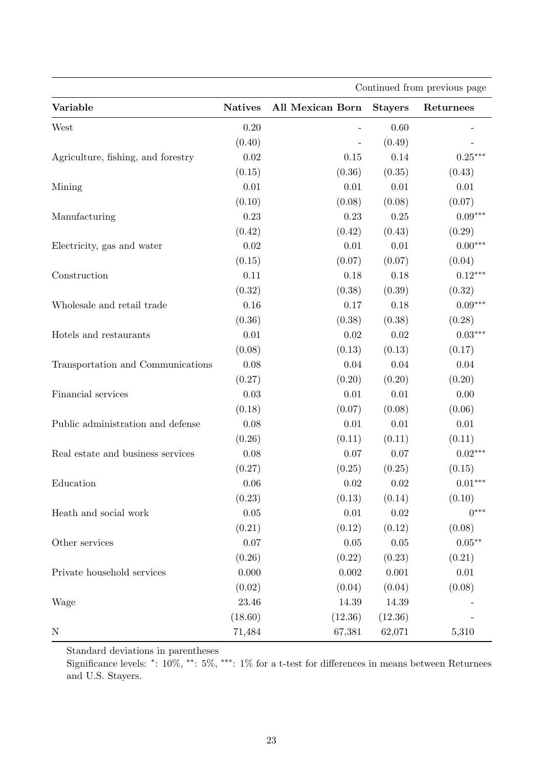|                                    | Continued from previous page |                         |                |                   |  |  |  |
|------------------------------------|------------------------------|-------------------------|----------------|-------------------|--|--|--|
| Variable                           | <b>Natives</b>               | <b>All Mexican Born</b> | <b>Stayers</b> | Returnees         |  |  |  |
| West                               | 0.20                         |                         | 0.60           |                   |  |  |  |
|                                    | (0.40)                       |                         | (0.49)         |                   |  |  |  |
| Agriculture, fishing, and forestry | $0.02\,$                     | 0.15                    | 0.14           | $0.25***$         |  |  |  |
|                                    | (0.15)                       | (0.36)                  | (0.35)         | (0.43)            |  |  |  |
| Mining                             | 0.01                         | 0.01                    | 0.01           | 0.01              |  |  |  |
|                                    | (0.10)                       | (0.08)                  | (0.08)         | (0.07)            |  |  |  |
| Manufacturing                      | 0.23                         | 0.23                    | 0.25           | $0.09***$         |  |  |  |
|                                    | (0.42)                       | (0.42)                  | (0.43)         | (0.29)            |  |  |  |
| Electricity, gas and water         | $0.02\,$                     | $0.01\,$                | 0.01           | $0.00***$         |  |  |  |
|                                    | (0.15)                       | (0.07)                  | (0.07)         | (0.04)            |  |  |  |
| Construction                       | 0.11                         | 0.18                    | 0.18           | $0.12***$         |  |  |  |
|                                    | (0.32)                       | (0.38)                  | (0.39)         | (0.32)            |  |  |  |
| Wholesale and retail trade         | $0.16\,$                     | 0.17                    | 0.18           | $0.09***$         |  |  |  |
|                                    | (0.36)                       | (0.38)                  | (0.38)         | (0.28)            |  |  |  |
| Hotels and restaurants             | 0.01                         | 0.02                    | 0.02           | $0.03***$         |  |  |  |
|                                    | (0.08)                       | (0.13)                  | (0.13)         | (0.17)            |  |  |  |
| Transportation and Communications  | 0.08                         | 0.04                    | 0.04           | 0.04              |  |  |  |
|                                    | (0.27)                       | (0.20)                  | (0.20)         | (0.20)            |  |  |  |
| Financial services                 | 0.03                         | $0.01\,$                | 0.01           | 0.00              |  |  |  |
|                                    | (0.18)                       | (0.07)                  | (0.08)         | (0.06)            |  |  |  |
| Public administration and defense  | 0.08                         | 0.01                    | 0.01           | 0.01              |  |  |  |
|                                    | (0.26)                       | (0.11)                  | (0.11)         | (0.11)            |  |  |  |
| Real estate and business services  | 0.08                         | 0.07                    | 0.07           | $0.02***$         |  |  |  |
|                                    | (0.27)                       | (0.25)                  | (0.25)         | (0.15)            |  |  |  |
| Education                          | 0.06                         | 0.02                    | 0.02           | $0.01***$         |  |  |  |
|                                    | (0.23)                       | (0.13)                  | (0.14)         | (0.10)            |  |  |  |
| Heath and social work              | $0.05\,$                     | $0.01\,$                | $0.02\,$       | $0***$            |  |  |  |
|                                    | (0.21)                       | (0.12)                  | (0.12)         | (0.08)            |  |  |  |
| Other services                     | 0.07                         | 0.05                    | 0.05           | $0.05^{\ast\ast}$ |  |  |  |
|                                    | (0.26)                       | (0.22)                  | (0.23)         | (0.21)            |  |  |  |
| Private household services         | 0.000                        | 0.002                   | 0.001          | 0.01              |  |  |  |
|                                    | (0.02)                       | (0.04)                  | (0.04)         | (0.08)            |  |  |  |
| Wage                               | 23.46                        | 14.39                   | 14.39          |                   |  |  |  |
|                                    | (18.60)                      | (12.36)                 | (12.36)        |                   |  |  |  |
| $\mathbf N$                        | 71,484                       | 67,381                  | 62,071         | 5,310             |  |  |  |

Standard deviations in parentheses

Significance levels: \*:  $10\%,$  \*\*:  $5\%,$  \*\*\*:  $1\%$  for a t-test for differences in means between Returnees and U.S. Stayers.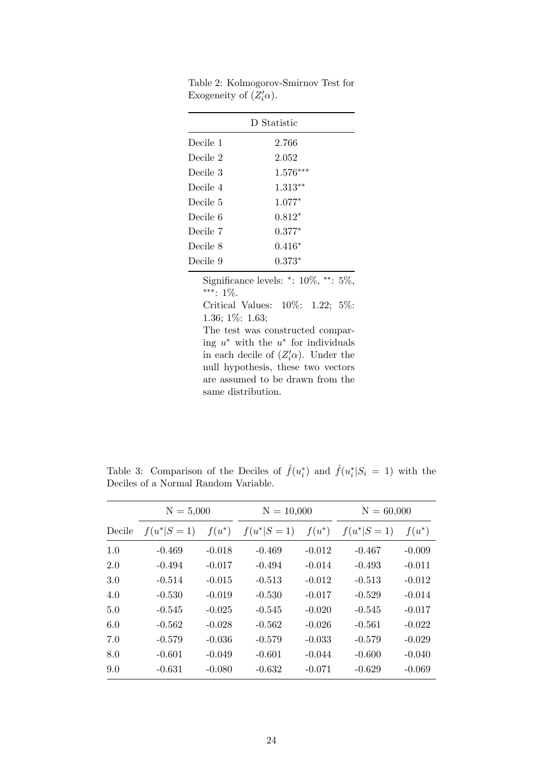| D Statistic |            |  |  |  |  |
|-------------|------------|--|--|--|--|
| Decile 1    | 2.766      |  |  |  |  |
| Decile 2    | 2.052      |  |  |  |  |
| Decile 3    | $1.576***$ |  |  |  |  |
| Decile 4    | $1.313**$  |  |  |  |  |
| Decile 5    | $1.077*$   |  |  |  |  |
| Decile 6    | $0.812*$   |  |  |  |  |
| Decile 7    | $0.377*$   |  |  |  |  |
| Decile 8    | $0.416*$   |  |  |  |  |
| Decile 9    | $0.373*$   |  |  |  |  |

<span id="page-23-0"></span>Table 2: Kolmogorov-Smirnov Test for Exogeneity of  $(Z_i'\alpha)$ .

Significance levels:  $*$ : 10%,  $**$ : 5%, ∗∗∗: 1%.

Critical Values: 10%: 1.22; 5%: 1.36; 1%: 1.63;

The test was constructed comparing  $u^*$  with the  $u^*$  for individuals in each decile of  $(Z_i' \alpha)$ . Under the null hypothesis, these two vectors are assumed to be drawn from the same distribution.

<span id="page-23-1"></span>Table 3: Comparison of the Deciles of  $\hat{f}(u_i^*)$  and  $\hat{f}(u_i^*|S_i = 1)$  with the Deciles of a Normal Random Variable.

|        | $N = 5,000$  |          | $N = 10,000$ |          | $N = 60,000$ |          |  |
|--------|--------------|----------|--------------|----------|--------------|----------|--|
| Decile | $f(u^* S=1)$ | $f(u^*)$ | $f(u^* S=1)$ | $f(u^*)$ | $f(u^* S=1)$ | $f(u^*)$ |  |
| 1.0    | $-0.469$     | $-0.018$ | $-0.469$     | $-0.012$ | $-0.467$     | $-0.009$ |  |
| 2.0    | $-0.494$     | $-0.017$ | $-0.494$     | $-0.014$ | $-0.493$     | $-0.011$ |  |
| 3.0    | $-0.514$     | $-0.015$ | $-0.513$     | $-0.012$ | $-0.513$     | $-0.012$ |  |
| 4.0    | $-0.530$     | $-0.019$ | $-0.530$     | $-0.017$ | $-0.529$     | $-0.014$ |  |
| 5.0    | $-0.545$     | $-0.025$ | $-0.545$     | $-0.020$ | $-0.545$     | $-0.017$ |  |
| 6.0    | $-0.562$     | $-0.028$ | $-0.562$     | $-0.026$ | $-0.561$     | $-0.022$ |  |
| 7.0    | $-0.579$     | $-0.036$ | $-0.579$     | $-0.033$ | $-0.579$     | $-0.029$ |  |
| 8.0    | $-0.601$     | $-0.049$ | $-0.601$     | $-0.044$ | $-0.600$     | $-0.040$ |  |
| 9.0    | $-0.631$     | $-0.080$ | $-0.632$     | $-0.071$ | $-0.629$     | $-0.069$ |  |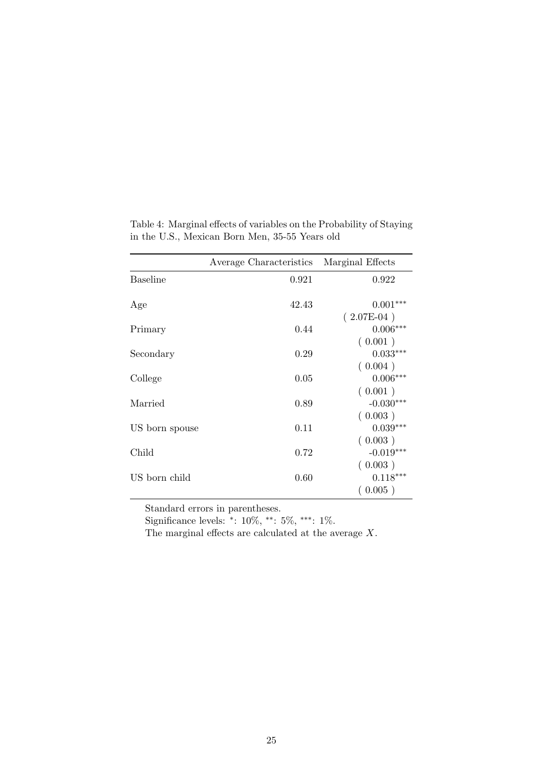|                 | Average Characteristics | Marginal Effects                 |
|-----------------|-------------------------|----------------------------------|
| <b>Baseline</b> | 0.921                   | 0.922                            |
| Age             | 42.43                   | $0.001***$                       |
| Primary         | 0.44                    | $(2.07E-04)$<br>$0.006***$       |
| Secondary       | 0.29                    | (0.001)<br>$0.033***$            |
| College         | 0.05                    | (0.004)<br>$0.006***$            |
| Married         | 0.89                    | (0.001)<br>$-0.030***$           |
| US born spouse  | 0.11                    | (0.003)<br>$0.039***$            |
| Child           | 0.72                    | (0.003)<br>$-0.019***$           |
| US born child   | 0.60                    | (0.003)<br>$0.118***$<br>(0.005) |

<span id="page-24-0"></span>Table 4: Marginal effects of variables on the Probability of Staying in the U.S., Mexican Born Men, 35-55 Years old

Standard errors in parentheses.

Significance levels: <sup>∗</sup> : 10%, ∗∗: 5%, ∗∗∗: 1%.

The marginal effects are calculated at the average X.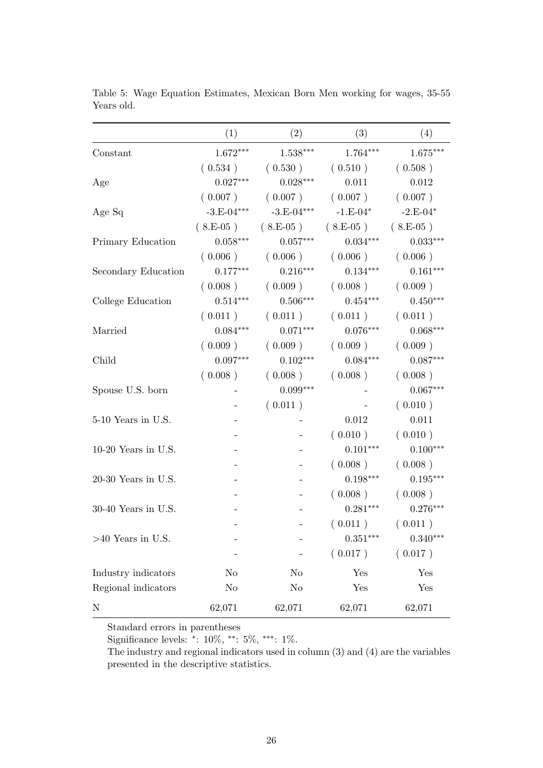|                     | (1)            | (2)             | (3)        | (4)        |
|---------------------|----------------|-----------------|------------|------------|
| Constant            | $1.672***$     | $1.538^{***}\,$ | $1.764***$ | $1.675***$ |
|                     | (0.534)        | (0.530)         | (0.510)    | (0.508)    |
| Age                 | $0.027***$     | $0.028***$      | 0.011      | 0.012      |
|                     | (0.007)        | (0.007)         | (0.007)    | (0.007)    |
| Age Sq              | $-3.E-04***$   | $-3.E-04***$    | $-1.E-04*$ | $-2.E-04*$ |
|                     | $(8.E-05)$     | $(8.E-05)$      | $(8.E-05)$ | $(8.E-05)$ |
| Primary Education   | $0.058***$     | $0.057***$      | $0.034***$ | $0.033***$ |
|                     | (0.006)        | (0.006)         | (0.006)    | (0.006)    |
| Secondary Education | $0.177***$     | $0.216***$      | $0.134***$ | $0.161***$ |
|                     | (0.008)        | (0.009)         | (0.008)    | (0.009)    |
| College Education   | $0.514***$     | $0.506***$      | $0.454***$ | $0.450***$ |
|                     | (0.011)        | (0.011)         | (0.011)    | (0.011)    |
| Married             | $0.084***$     | $0.071***$      | $0.076***$ | $0.068***$ |
|                     | (0.009)        | (0.009)         | (0.009)    | (0.009)    |
| Child               | $0.097***$     | $0.102***$      | $0.084***$ | $0.087***$ |
|                     | (0.008)        | (0.008)         | (0.008)    | (0.008)    |
| Spouse U.S. born    |                | $0.099***$      |            | $0.067***$ |
|                     |                | (0.011)         |            | (0.010)    |
| 5-10 Years in U.S.  |                |                 | 0.012      | 0.011      |
|                     |                |                 | (0.010)    | (0.010)    |
| 10-20 Years in U.S. |                |                 | $0.101***$ | $0.100***$ |
|                     |                |                 | (0.008)    | (0.008)    |
| 20-30 Years in U.S. |                |                 | $0.198***$ | $0.195***$ |
|                     |                |                 | (0.008)    | (0.008)    |
| 30-40 Years in U.S. |                |                 | $0.281***$ | $0.276***$ |
|                     |                |                 | (0.011)    | (0.011)    |
| $>40$ Years in U.S. |                |                 | $0.351***$ | $0.340***$ |
|                     |                |                 | (0.017)    | (0.017)    |
| Industry indicators | N <sub>o</sub> | N <sub>o</sub>  | Yes        | Yes        |
| Regional indicators | N <sub>o</sub> | N <sub>o</sub>  | Yes        | Yes        |
| N                   | 62,071         | 62,071          | 62,071     | 62,071     |

<span id="page-25-0"></span>Table 5: Wage Equation Estimates, Mexican Born Men working for wages, 35-55 Years old.

Standard errors in parentheses

Significance levels: <sup>∗</sup> : 10%, ∗∗: 5%, ∗∗∗: 1%.

The industry and regional indicators used in column (3) and (4) are the variables presented in the descriptive statistics.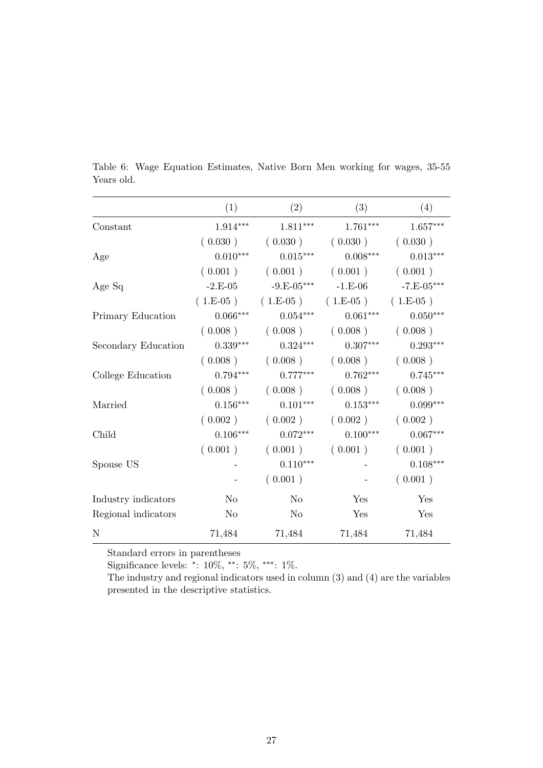|                     | (1)            | (2)          | (3)                              | (4)          |
|---------------------|----------------|--------------|----------------------------------|--------------|
| Constant            | $1.914***$     | $1.811***$   | $1.761***$                       | $1.657***$   |
|                     | (0.030)        | (0.030)      | (0.030)                          | (0.030)      |
| Age                 | $0.010***$     | $0.015***$   | $0.008***$                       | $0.013***$   |
|                     | (0.001)        | (0.001)      | (0.001)                          | (0.001)      |
| Age Sq              | $-2.E-05$      | $-9.E-05***$ | $-1.E-06$                        | $-7.E-05***$ |
|                     |                |              | $(1.E-05)$ $(1.E-05)$ $(1.E-05)$ | $(1.E-05)$   |
| Primary Education   | $0.066***$     | $0.054***$   | $0.061***$                       | $0.050***$   |
|                     |                |              | $(0.008)$ $(0.008)$ $(0.008)$    | (0.008)      |
| Secondary Education | $0.339***$     | $0.324***$   | $0.307***$                       | $0.293***$   |
|                     | (0.008)        | (0.008)      | (0.008)                          | (0.008)      |
| College Education   | $0.794***$     | $0.777***$   | $0.762***$                       | $0.745***$   |
|                     | (0.008)        | (0.008)      | (0.008)                          | (0.008)      |
| Married             | $0.156***$     | $0.101***$   | $0.153***$                       | $0.099***$   |
|                     | (0.002)        | (0.002)      | (0.002)                          | (0.002)      |
| Child               | $0.106***$     | $0.072***$   | $0.100***$                       | $0.067***$   |
|                     | (0.001)        | (0.001)      | (0.001)                          | (0.001)      |
| Spouse US           |                | $0.110***$   |                                  | $0.108***$   |
|                     |                | (0.001)      |                                  | (0.001)      |
| Industry indicators | N <sub>o</sub> | No           | Yes                              | Yes          |
| Regional indicators | N <sub>o</sub> | No           | Yes                              | Yes          |
| N                   | 71,484         | 71,484       | 71,484                           | 71,484       |

<span id="page-26-0"></span>Table 6: Wage Equation Estimates, Native Born Men working for wages, 35-55 Years old.

Standard errors in parentheses

Significance levels: <sup>∗</sup> : 10%, ∗∗: 5%, ∗∗∗: 1%.

The industry and regional indicators used in column (3) and (4) are the variables presented in the descriptive statistics.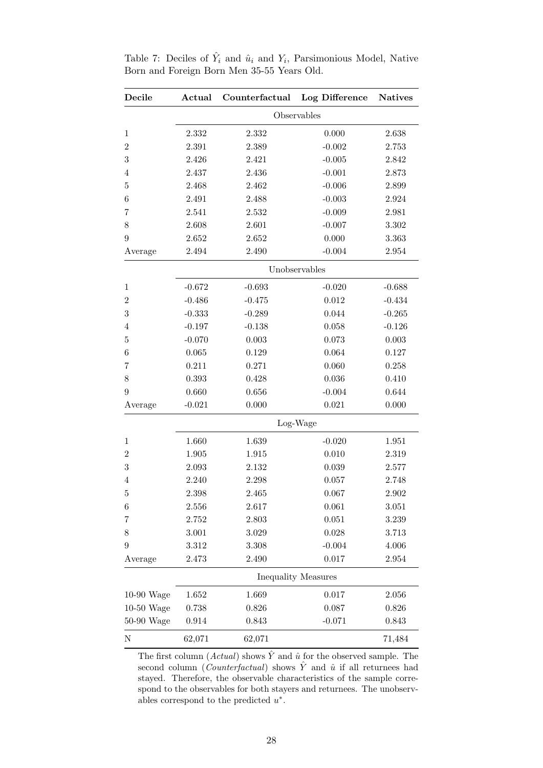| Decile           | Actual   | Counterfactual | Log Difference             | <b>Natives</b> |  |  |  |
|------------------|----------|----------------|----------------------------|----------------|--|--|--|
|                  |          |                | Observables                |                |  |  |  |
| $\mathbf{1}$     | 2.332    | 2.332          | 0.000                      | 2.638          |  |  |  |
| $\boldsymbol{2}$ | 2.391    | 2.389          | $-0.002$                   | 2.753          |  |  |  |
| 3                | 2.426    | 2.421          | $-0.005$                   | 2.842          |  |  |  |
| 4                | 2.437    | 2.436          | $-0.001$                   | 2.873          |  |  |  |
| $\overline{5}$   | 2.468    | 2.462          | $-0.006$                   | 2.899          |  |  |  |
| 6                | 2.491    | 2.488          | $-0.003$                   | 2.924          |  |  |  |
| 7                | 2.541    | 2.532          | $-0.009$                   | 2.981          |  |  |  |
| 8                | 2.608    | 2.601          | $-0.007$                   | 3.302          |  |  |  |
| 9                | 2.652    | 2.652          | 0.000                      | 3.363          |  |  |  |
| Average          | 2.494    | 2.490          | $-0.004$                   | 2.954          |  |  |  |
|                  |          |                | Unobservables              |                |  |  |  |
| $\mathbf{1}$     | $-0.672$ | $-0.693$       | $-0.020$                   | $-0.688$       |  |  |  |
| $\overline{2}$   | $-0.486$ | $-0.475$       | 0.012                      | $-0.434$       |  |  |  |
| $\boldsymbol{3}$ | $-0.333$ | $-0.289$       | 0.044                      | $-0.265$       |  |  |  |
| 4                | $-0.197$ | $-0.138$       | 0.058                      | $-0.126$       |  |  |  |
| $\overline{5}$   | $-0.070$ | 0.003          | 0.073                      | 0.003          |  |  |  |
| 6                | 0.065    | 0.129          | 0.064                      | 0.127          |  |  |  |
| 7                | 0.211    | 0.271          | 0.060                      | 0.258          |  |  |  |
| 8                | 0.393    | 0.428          | 0.036                      | 0.410          |  |  |  |
| 9                | 0.660    | 0.656          | $-0.004$                   | 0.644          |  |  |  |
| Average          | $-0.021$ | 0.000          | 0.021                      | 0.000          |  |  |  |
|                  | Log-Wage |                |                            |                |  |  |  |
| $\mathbf 1$      | 1.660    | 1.639          | $-0.020$                   | 1.951          |  |  |  |
| $\boldsymbol{2}$ | 1.905    | 1.915          | 0.010                      | 2.319          |  |  |  |
| $\boldsymbol{3}$ | 2.093    | 2.132          | 0.039                      | 2.577          |  |  |  |
| $\overline{4}$   | 2.240    | 2.298          | 0.057                      | 2.748          |  |  |  |
| 5                | 2.398    | 2.465          | 0.067                      | 2.902          |  |  |  |
| 6                | 2.556    | 2.617          | 0.061                      | 3.051          |  |  |  |
| 7                | 2.752    | 2.803          | 0.051                      | 3.239          |  |  |  |
| 8                | 3.001    | 3.029          | $0.028\,$                  | 3.713          |  |  |  |
| $\boldsymbol{9}$ | 3.312    | 3.308          | $-0.004$                   | 4.006          |  |  |  |
| Average          | 2.473    | 2.490          | 0.017                      | 2.954          |  |  |  |
|                  |          |                | <b>Inequality Measures</b> |                |  |  |  |
| $10-90$ Wage     | 1.652    | 1.669          | 0.017                      | 2.056          |  |  |  |
| 10-50 Wage       | 0.738    | 0.826          | 0.087                      | 0.826          |  |  |  |
| 50-90 Wage       | 0.914    | 0.843          | $-0.071$                   | 0.843          |  |  |  |
| Ν                | 62,071   | 62,071         |                            | 71,484         |  |  |  |

<span id="page-27-0"></span>Table 7: Deciles of  $\hat{Y}_i$  and  $\hat{u}_i$  and  $Y_i$ , Parsimonious Model, Native Born and Foreign Born Men 35-55 Years Old.

The first column (Actual) shows  $\hat{Y}$  and  $\hat{u}$  for the observed sample. The second column (Counterfactual) shows  $\hat{Y}$  and  $\hat{u}$  if all returnees had stayed. Therefore, the observable characteristics of the sample correspond to the observables for both stayers and returnees. The unobservables correspond to the predicted  $u^*$ .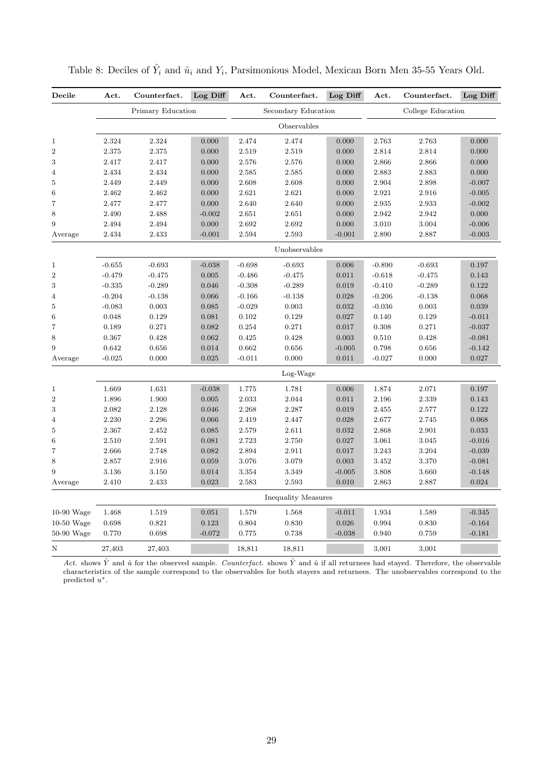| Decile          | Act.     | Counterfact.      | Log Diff | Act.     | Counterfact.               | Log Diff | Act.     | Counterfact.      | Log Diff |
|-----------------|----------|-------------------|----------|----------|----------------------------|----------|----------|-------------------|----------|
|                 |          | Primary Education |          |          | Secondary Education        |          |          | College Education |          |
|                 |          |                   |          |          | Observables                |          |          |                   |          |
| $\,1$           | 2.324    | 2.324             | 0.000    | 2.474    | 2.474                      | 0.000    | 2.763    | 2.763             | 0.000    |
| $\overline{2}$  | 2.375    | 2.375             | 0.000    | 2.519    | 2.519                      | 0.000    | 2.814    | 2.814             | 0.000    |
| 3               | 2.417    | 2.417             | 0.000    | 2.576    | 2.576                      | 0.000    | 2.866    | 2.866             | 0.000    |
| $\overline{4}$  | 2.434    | 2.434             | 0.000    | 2.585    | 2.585                      | 0.000    | 2.883    | 2.883             | 0.000    |
| 5               | 2.449    | 2.449             | 0.000    | 2.608    | 2.608                      | 0.000    | 2.904    | 2.898             | $-0.007$ |
| $6\phantom{1}6$ | 2.462    | 2.462             | 0.000    | 2.621    | 2.621                      | 0.000    | 2.921    | 2.916             | $-0.005$ |
| 7               | 2.477    | 2.477             | 0.000    | 2.640    | 2.640                      | 0.000    | 2.935    | 2.933             | $-0.002$ |
| 8               | 2.490    | 2.488             | $-0.002$ | 2.651    | 2.651                      | 0.000    | 2.942    | 2.942             | 0.000    |
| 9               | 2.494    | 2.494             | 0.000    | 2.692    | 2.692                      | 0.000    | 3.010    | 3.004             | $-0.006$ |
| Average         | 2.434    | 2.433             | $-0.001$ | 2.594    | 2.593                      | $-0.001$ | 2.890    | 2.887             | $-0.003$ |
|                 |          |                   |          |          | Unobservables              |          |          |                   |          |
| $\mathbf{1}$    | $-0.655$ | $-0.693$          | $-0.038$ | $-0.698$ | $-0.693$                   | 0.006    | $-0.890$ | $-0.693$          | 0.197    |
| $\overline{2}$  | $-0.479$ | $-0.475$          | 0.005    | $-0.486$ | $-0.475$                   | 0.011    | $-0.618$ | $-0.475$          | 0.143    |
| $\sqrt{3}$      | $-0.335$ | $-0.289$          | 0.046    | $-0.308$ | $-0.289$                   | 0.019    | $-0.410$ | $-0.289$          | 0.122    |
| $\overline{4}$  | $-0.204$ | $-0.138$          | 0.066    | $-0.166$ | $-0.138$                   | 0.028    | $-0.206$ | $-0.138$          | 0.068    |
| $\bf 5$         | $-0.083$ | 0.003             | 0.085    | $-0.029$ | 0.003                      | 0.032    | $-0.036$ | 0.003             | 0.039    |
| $\,6$           | 0.048    | 0.129             | 0.081    | 0.102    | 0.129                      | 0.027    | 0.140    | 0.129             | $-0.011$ |
| $\overline{7}$  | 0.189    | 0.271             | 0.082    | 0.254    | 0.271                      | 0.017    | 0.308    | 0.271             | $-0.037$ |
| 8               | 0.367    | 0.428             | 0.062    | 0.425    | 0.428                      | 0.003    | 0.510    | 0.428             | $-0.081$ |
| 9               | 0.642    | 0.656             | 0.014    | 0.662    | 0.656                      | $-0.005$ | 0.798    | 0.656             | $-0.142$ |
| Average         | $-0.025$ | 0.000             | 0.025    | $-0.011$ | 0.000                      | 0.011    | $-0.027$ | 0.000             | 0.027    |
|                 |          |                   |          |          | Log-Wage                   |          |          |                   |          |
| $\,1$           | 1.669    | 1.631             | $-0.038$ | 1.775    | 1.781                      | 0.006    | 1.874    | 2.071             | 0.197    |
| $\sqrt{2}$      | 1.896    | 1.900             | 0.005    | 2.033    | 2.044                      | 0.011    | 2.196    | 2.339             | 0.143    |
| 3               | 2.082    | 2.128             | 0.046    | 2.268    | 2.287                      | 0.019    | 2.455    | 2.577             | 0.122    |
| 4               | 2.230    | 2.296             | 0.066    | 2.419    | 2.447                      | 0.028    | 2.677    | 2.745             | 0.068    |
| $\bf 5$         | 2.367    | 2.452             | 0.085    | 2.579    | 2.611                      | 0.032    | 2.868    | 2.901             | 0.033    |
| $\,6$           | 2.510    | 2.591             | 0.081    | 2.723    | 2.750                      | 0.027    | 3.061    | 3.045             | $-0.016$ |
| $\overline{7}$  | 2.666    | 2.748             | 0.082    | 2.894    | 2.911                      | 0.017    | 3.243    | 3.204             | $-0.039$ |
| 8               | 2.857    | 2.916             | 0.059    | 3.076    | 3.079                      | 0.003    | 3.452    | 3.370             | $-0.081$ |
| 9               | 3.136    | 3.150             | 0.014    | 3.354    | 3.349                      | $-0.005$ | 3.808    | 3.660             | $-0.148$ |
| Average         | 2.410    | 2.433             | 0.023    | 2.583    | 2.593                      | 0.010    | 2.863    | 2.887             | 0.024    |
|                 |          |                   |          |          | <b>Inequality Measures</b> |          |          |                   |          |
| $10-90$ Wage    | 1.468    | 1.519             | 0.051    | 1.579    | 1.568                      | $-0.011$ | 1.934    | 1.589             | $-0.345$ |
| $10-50$ Wage    | 0.698    | 0.821             | 0.123    | 0.804    | 0.830                      | 0.026    | 0.994    | 0.830             | $-0.164$ |
| $50-90$ Wage    | 0.770    | 0.698             | $-0.072$ | 0.775    | 0.738                      | $-0.038$ | 0.940    | 0.759             | $-0.181$ |
| Ν               | 27,403   | 27,403            |          | 18,811   | 18,811                     |          | 3,001    | 3,001             |          |

<span id="page-28-0"></span>Table 8: Deciles of  $\hat{Y}_i$  and  $\hat{u}_i$  and  $Y_i$ , Parsimonious Model, Mexican Born Men 35-55 Years Old.

Act. shows  $\hat{Y}$  and  $\hat{u}$  for the observed sample. Counterfact. shows  $\hat{Y}$  and  $\hat{u}$  if all returnees had stayed. Therefore, the observable characteristics of the sample correspond to the observables for both stayers and returnees. The unobservables correspond to the predicted  $u^*$ .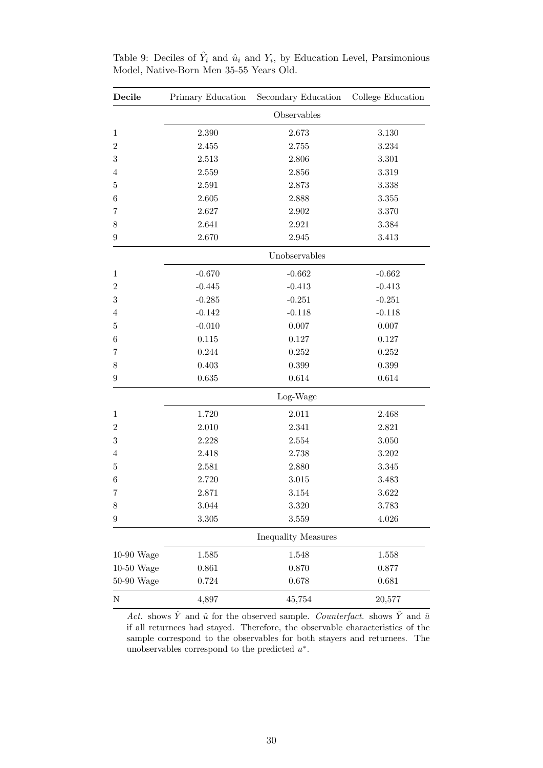| Decile           | Primary Education | Secondary Education | College Education |  |  |  |  |
|------------------|-------------------|---------------------|-------------------|--|--|--|--|
|                  |                   | Observables         |                   |  |  |  |  |
| $\mathbf{1}$     | 2.390             | 2.673               | 3.130             |  |  |  |  |
| $\overline{2}$   | 2.455             | 2.755               | 3.234             |  |  |  |  |
| $\sqrt{3}$       | 2.513             | 2.806               | 3.301             |  |  |  |  |
| $\overline{4}$   | 2.559             | 2.856               | 3.319             |  |  |  |  |
| 5                | 2.591             | 2.873               | 3.338             |  |  |  |  |
| 6                | 2.605             | 2.888               | 3.355             |  |  |  |  |
| 7                | 2.627             | 2.902               | 3.370             |  |  |  |  |
| 8                | 2.641             | 2.921               | 3.384             |  |  |  |  |
| $\boldsymbol{9}$ | 2.670             | $\;\:2.945$         | 3.413             |  |  |  |  |
|                  |                   | Unobservables       |                   |  |  |  |  |
| $\mathbf{1}$     | $-0.670$          | $-0.662$            | $-0.662$          |  |  |  |  |
| $\overline{2}$   | $-0.445$          | $-0.413$            | $-0.413$          |  |  |  |  |
| $\sqrt{3}$       | $-0.285$          | $-0.251$            | $-0.251$          |  |  |  |  |
| 4                | $-0.142$          | $-0.118$            | $-0.118$          |  |  |  |  |
| $\overline{5}$   | $-0.010$          | $0.007\,$           | 0.007             |  |  |  |  |
| 6                | 0.115             | 0.127               | 0.127             |  |  |  |  |
| 7                | 0.244             | 0.252               | 0.252             |  |  |  |  |
| $8\,$            | 0.403             | 0.399               | 0.399             |  |  |  |  |
| $9\,$            | 0.635             | 0.614               | 0.614             |  |  |  |  |
|                  |                   | Log-Wage            |                   |  |  |  |  |
| $\mathbf{1}$     | 1.720             | 2.011               | 2.468             |  |  |  |  |
| $\overline{2}$   | 2.010             | 2.341               | 2.821             |  |  |  |  |
| 3                | 2.228             | $\phantom{-}2.554$  | 3.050             |  |  |  |  |
| $\overline{4}$   | 2.418             | 2.738               | 3.202             |  |  |  |  |
| $\overline{5}$   | 2.581             | 2.880               | 3.345             |  |  |  |  |
| $\,6\,$          | 2.720             | 3.015               | 3.483             |  |  |  |  |
| 7                | 2.871             | 3.154               | 3.622             |  |  |  |  |
| 8                | 3.044             | $3.320\,$           | 3.783             |  |  |  |  |
| $\boldsymbol{9}$ | 3.305             | 3.559               | 4.026             |  |  |  |  |
|                  |                   | Inequality Measures |                   |  |  |  |  |
| 10-90 Wage       | 1.585             | 1.548               | 1.558             |  |  |  |  |
| 10-50 Wage       | 0.861             | 0.870               | 0.877             |  |  |  |  |
| 50-90 Wage       | 0.724             | 0.678               | 0.681             |  |  |  |  |
| $\mathbf N$      | 4,897             | 45,754              | 20,577            |  |  |  |  |

<span id="page-29-0"></span>Table 9: Deciles of  $\hat{Y}_i$  and  $\hat{u}_i$  and  $Y_i$ , by Education Level, Parsimonious Model, Native-Born Men 35-55 Years Old.

Act. shows  $\hat{Y}$  and  $\hat{u}$  for the observed sample. Counterfact. shows  $\hat{Y}$  and  $\hat{u}$ if all returnees had stayed. Therefore, the observable characteristics of the sample correspond to the observables for both stayers and returnees. The unobservables correspond to the predicted  $u^*$ .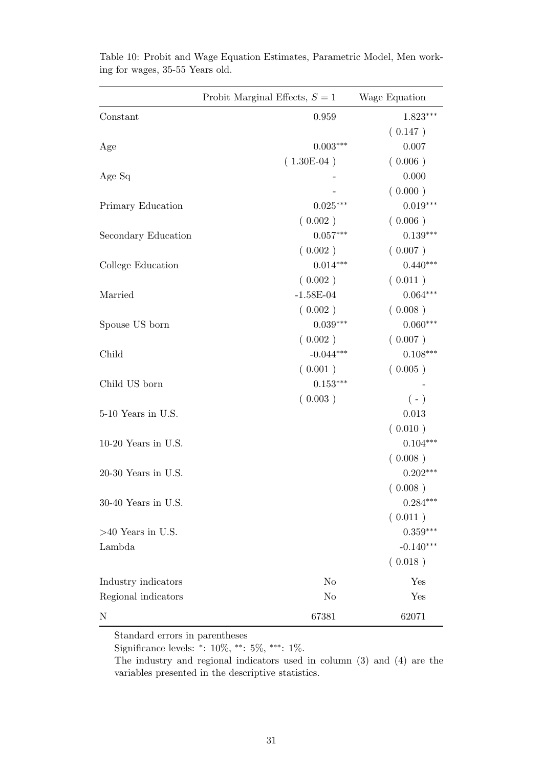|                       | Probit Marginal Effects, $S = 1$ | Wage Equation |
|-----------------------|----------------------------------|---------------|
| Constant              | 0.959                            | $1.823***$    |
|                       |                                  | (0.147)       |
| Age                   | $0.003***$                       | 0.007         |
|                       | $(1.30E-04)$                     | (0.006)       |
| Age Sq                |                                  | 0.000         |
|                       |                                  | (0.000)       |
| Primary Education     | $0.025***$                       | $0.019***$    |
|                       | (0.002)                          | (0.006)       |
| Secondary Education   | $0.057***$                       | $0.139***$    |
|                       | (0.002)                          | (0.007)       |
| College Education     | $0.014***$                       | $0.440***$    |
|                       | (0.002)                          | (0.011)       |
| Married               | $-1.58E-04$                      | $0.064***$    |
|                       | (0.002)                          | (0.008)       |
| Spouse US born        | $0.039***$                       | $0.060***$    |
|                       | (0.002)                          | (0.007)       |
| Child                 | $-0.044***$                      | $0.108***$    |
|                       | (0.001)                          | (0.005)       |
| Child US born         | $0.153***$                       |               |
|                       | (0.003)                          | $(-)$         |
| 5-10 Years in U.S.    |                                  | 0.013         |
|                       |                                  | (0.010)       |
| 10-20 Years in U.S.   |                                  | $0.104***$    |
|                       |                                  | (0.008)       |
| $20-30$ Years in U.S. |                                  | $0.202***$    |
|                       |                                  | (0.008)       |
| 30-40 Years in U.S.   |                                  | $0.284***$    |
|                       |                                  | (0.011)       |
| $>40$ Years in U.S.   |                                  | $0.359***$    |
| Lambda                |                                  | $-0.140***$   |
|                       |                                  | (0.018)       |
| Industry indicators   | N <sub>o</sub>                   | Yes           |
| Regional indicators   | No                               | Yes           |
| $\mathbf N$           | 67381                            | 62071         |

<span id="page-30-0"></span>Table 10: Probit and Wage Equation Estimates, Parametric Model, Men working for wages, 35-55 Years old.

Standard errors in parentheses

Significance levels: <sup>∗</sup> : 10%, ∗∗: 5%, ∗∗∗: 1%.

The industry and regional indicators used in column (3) and (4) are the variables presented in the descriptive statistics.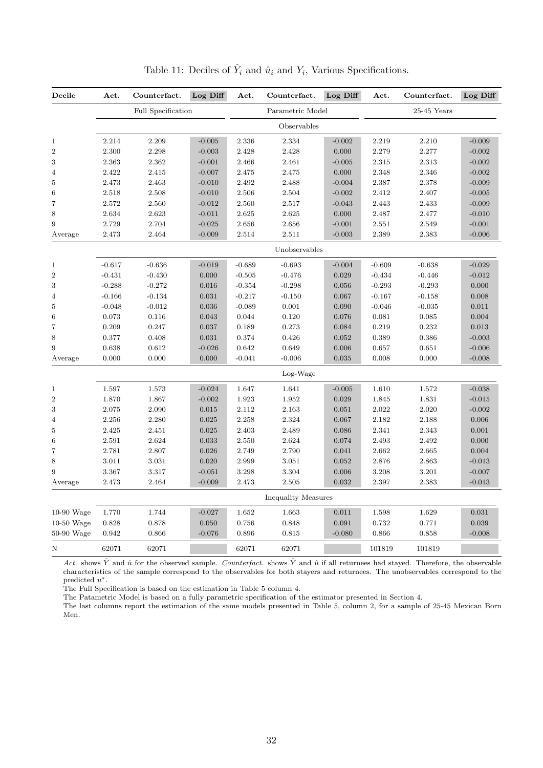<span id="page-31-0"></span>

| Decile           | Act.     | Counterfact.       | Log Diff | Act.     | Counterfact.               | Log Diff | Act.     | Counterfact.  | Log Diff |
|------------------|----------|--------------------|----------|----------|----------------------------|----------|----------|---------------|----------|
|                  |          | Full Specification |          |          | Parametric Model           |          |          | $25-45$ Years |          |
|                  |          |                    |          |          | Observables                |          |          |               |          |
| $\,1$            | 2.214    | 2.209              | $-0.005$ | 2.336    | 2.334                      | $-0.002$ | 2.219    | 2.210         | $-0.009$ |
| $\overline{2}$   | 2.300    | 2.298              | $-0.003$ | 2.428    | 2.428                      | 0.000    | 2.279    | 2.277         | $-0.002$ |
| 3                | 2.363    | 2.362              | $-0.001$ | 2.466    | 2.461                      | $-0.005$ | 2.315    | 2.313         | $-0.002$ |
| 4                | 2.422    | 2.415              | $-0.007$ | 2.475    | 2.475                      | 0.000    | 2.348    | 2.346         | $-0.002$ |
| $\bf 5$          | 2.473    | 2.463              | $-0.010$ | 2.492    | 2.488                      | $-0.004$ | 2.387    | 2.378         | $-0.009$ |
| $\,6$            | 2.518    | 2.508              | $-0.010$ | 2.506    | 2.504                      | $-0.002$ | 2.412    | 2.407         | $-0.005$ |
| 7                | 2.572    | 2.560              | $-0.012$ | 2.560    | 2.517                      | $-0.043$ | 2.443    | 2.433         | $-0.009$ |
| 8                | 2.634    | 2.623              | $-0.011$ | 2.625    | 2.625                      | 0.000    | 2.487    | 2.477         | $-0.010$ |
| 9                | 2.729    | 2.704              | $-0.025$ | 2.656    | 2.656                      | $-0.001$ | 2.551    | 2.549         | $-0.001$ |
| Average          | 2.473    | 2.464              | $-0.009$ | 2.514    | 2.511                      | $-0.003$ | 2.389    | 2.383         | $-0.006$ |
|                  |          |                    |          |          | Unobservables              |          |          |               |          |
| $\mathbf{1}$     | $-0.617$ | $-0.636$           | $-0.019$ | $-0.689$ | $-0.693$                   | $-0.004$ | $-0.609$ | $-0.638$      | $-0.029$ |
| $\sqrt{2}$       | $-0.431$ | $-0.430$           | 0.000    | $-0.505$ | $-0.476$                   | 0.029    | $-0.434$ | $-0.446$      | $-0.012$ |
| 3                | $-0.288$ | $-0.272$           | 0.016    | $-0.354$ | $-0.298$                   | 0.056    | $-0.293$ | $-0.293$      | 0.000    |
| $\overline{4}$   | $-0.166$ | $-0.134$           | 0.031    | $-0.217$ | $-0.150$                   | 0.067    | $-0.167$ | $-0.158$      | 0.008    |
| 5                | $-0.048$ | $-0.012$           | 0.036    | $-0.089$ | 0.001                      | 0.090    | $-0.046$ | $-0.035$      | 0.011    |
| $\,6$            | 0.073    | 0.116              | 0.043    | 0.044    | 0.120                      | 0.076    | 0.081    | 0.085         | 0.004    |
| 7                | 0.209    | 0.247              | 0.037    | 0.189    | 0.273                      | 0.084    | 0.219    | 0.232         | 0.013    |
| 8                | 0.377    | 0.408              | 0.031    | 0.374    | 0.426                      | 0.052    | 0.389    | 0.386         | $-0.003$ |
| $\boldsymbol{9}$ | 0.638    | 0.612              | $-0.026$ | 0.642    | 0.649                      | 0.006    | 0.657    | 0.651         | $-0.006$ |
| Average          | 0.000    | 0.000              | 0.000    | $-0.041$ | $-0.006$                   | 0.035    | 0.008    | 0.000         | $-0.008$ |
|                  |          |                    |          |          | Log-Wage                   |          |          |               |          |
| $\mathbf{1}$     | 1.597    | 1.573              | $-0.024$ | 1.647    | 1.641                      | $-0.005$ | 1.610    | 1.572         | $-0.038$ |
| $\sqrt{2}$       | 1.870    | 1.867              | $-0.002$ | 1.923    | 1.952                      | 0.029    | 1.845    | 1.831         | $-0.015$ |
| 3                | 2.075    | 2.090              | 0.015    | 2.112    | 2.163                      | 0.051    | 2.022    | 2.020         | $-0.002$ |
| 4                | 2.256    | 2.280              | 0.025    | 2.258    | 2.324                      | 0.067    | 2.182    | 2.188         | 0.006    |
| $\bf 5$          | 2.425    | 2.451              | 0.025    | 2.403    | 2.489                      | 0.086    | 2.341    | 2.343         | 0.001    |
| 6                | 2.591    | 2.624              | 0.033    | 2.550    | 2.624                      | 0.074    | 2.493    | 2.492         | 0.000    |
| $\overline{7}$   | 2.781    | 2.807              | 0.026    | 2.749    | 2.790                      | 0.041    | 2.662    | 2.665         | 0.004    |
| 8                | 3.011    | 3.031              | 0.020    | 2.999    | 3.051                      | 0.052    | 2.876    | 2.863         | $-0.013$ |
| 9                | 3.367    | 3.317              | $-0.051$ | 3.298    | 3.304                      | 0.006    | 3.208    | 3.201         | $-0.007$ |
| Average          | 2.473    | 2.464              | $-0.009$ | 2.473    | 2.505                      | 0.032    | 2.397    | 2.383         | $-0.013$ |
|                  |          |                    |          |          | <b>Inequality Measures</b> |          |          |               |          |
| $10-90$ Wage     | 1.770    | 1.744              | $-0.027$ | 1.652    | 1.663                      | 0.011    | 1.598    | 1.629         | 0.031    |
| $10-50$ Wage     | 0.828    | 0.878              | 0.050    | 0.756    | 0.848                      | 0.091    | 0.732    | 0.771         | 0.039    |
| 50-90 Wage       | 0.942    | 0.866              | $-0.076$ | 0.896    | 0.815                      | $-0.080$ | 0.866    | 0.858         | $-0.008$ |
| $\rm N$          | 62071    | 62071              |          | 62071    | 62071                      |          | 101819   | 101819        |          |

Table 11: Deciles of  $\hat{Y}_i$  and  $\hat{u}_i$  and  $Y_i$ , Various Specifications.

Act. shows  $\hat{Y}$  and  $\hat{u}$  for the observed sample. Counterfact. shows  $\hat{Y}$  and  $\hat{u}$  if all returnees had stayed. Therefore, the observable characteristics of the sample correspond to the observables for both stayers and returnees. The unobservables correspond to the predicted  $u^*$ .

The Full Specification is based on the estimation in Table [5](#page-25-0) column 4.

The Patametric Model is based on a fully parametric specification of the estimator presented in Section 4.

The last columns report the estimation of the same models presented in Table [5,](#page-25-0) column 2, for a sample of 25-45 Mexican Born Men.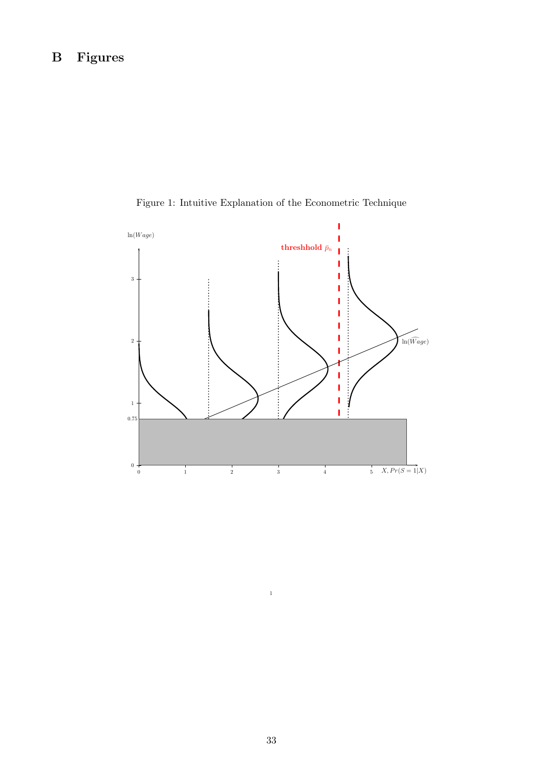<span id="page-32-0"></span>

Figure 1: Intuitive Explanation of the Econometric Technique

1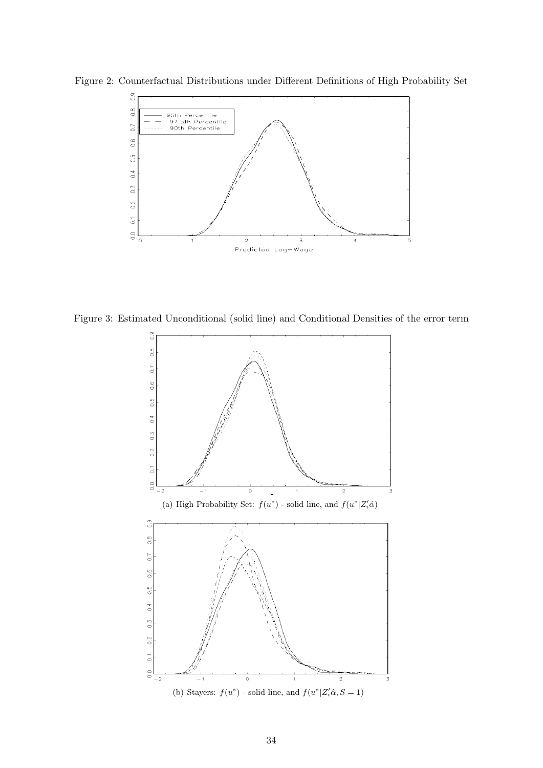

<span id="page-33-0"></span>Figure 2: Counterfactual Distributions under Different Definitions of High Probability Set

Figure 3: Estimated Unconditional (solid line) and Conditional Densities of the error term

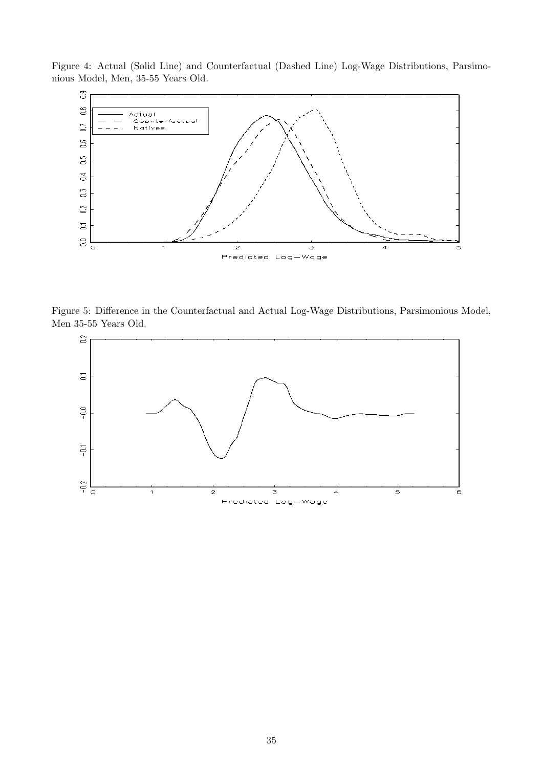<span id="page-34-0"></span>Figure 4: Actual (Solid Line) and Counterfactual (Dashed Line) Log-Wage Distributions, Parsimonious Model, Men, 35-55 Years Old.



<span id="page-34-1"></span>Figure 5: Difference in the Counterfactual and Actual Log-Wage Distributions, Parsimonious Model, Men 35-55 Years Old.

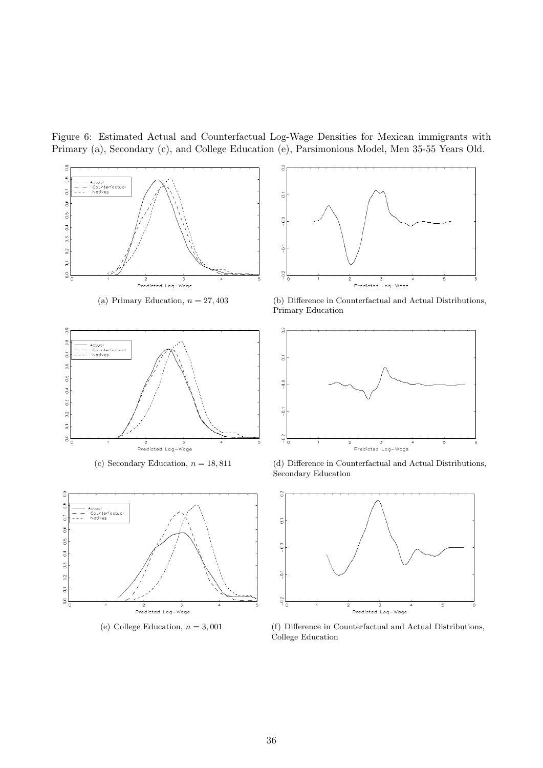<span id="page-35-0"></span>Figure 6: Estimated Actual and Counterfactual Log-Wage Densities for Mexican immigrants with Primary [\(a\),](#page-35-1) Secondary [\(c\),](#page-35-2) and College Education [\(e\),](#page-35-3) Parsimonious Model, Men 35-55 Years Old.

<span id="page-35-3"></span><span id="page-35-2"></span><span id="page-35-1"></span>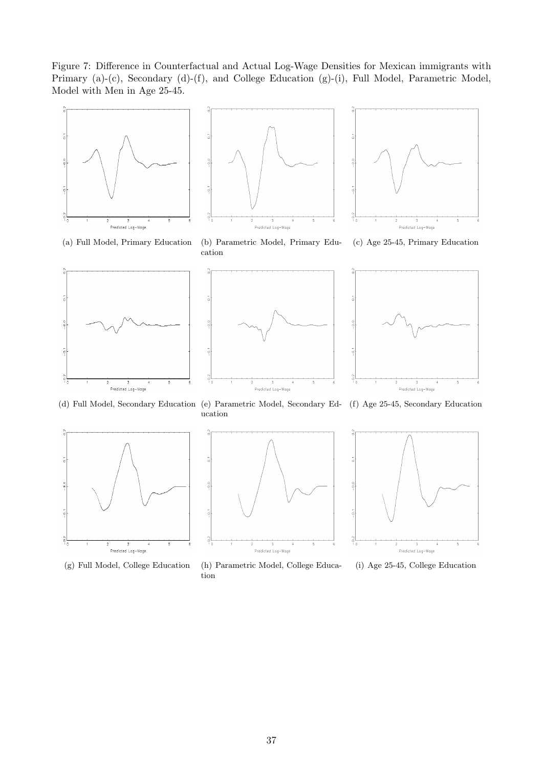<span id="page-36-0"></span>Figure 7: Difference in Counterfactual and Actual Log-Wage Densities for Mexican immigrants with Primary [\(a\)-](#page-36-1)[\(c\),](#page-36-2) Secondary [\(d\)-](#page-36-3)[\(f\),](#page-36-4) and College Education [\(g\)-](#page-36-5)[\(i\),](#page-36-6) Full Model, Parametric Model, Model with Men in Age 25-45.

<span id="page-36-1"></span>







<span id="page-36-2"></span>(c) Age 25-45, Primary Education

<span id="page-36-3"></span>





(d) Full Model, Secondary Education (e) Parametric Model, Secondary Ed-(f) Age 25-45, Secondary Education

<span id="page-36-5"></span>



ucation

(g) Full Model, College Education (h) Parametric Model, College Education

<span id="page-36-4"></span>

<span id="page-36-6"></span>(i) Age 25-45, College Education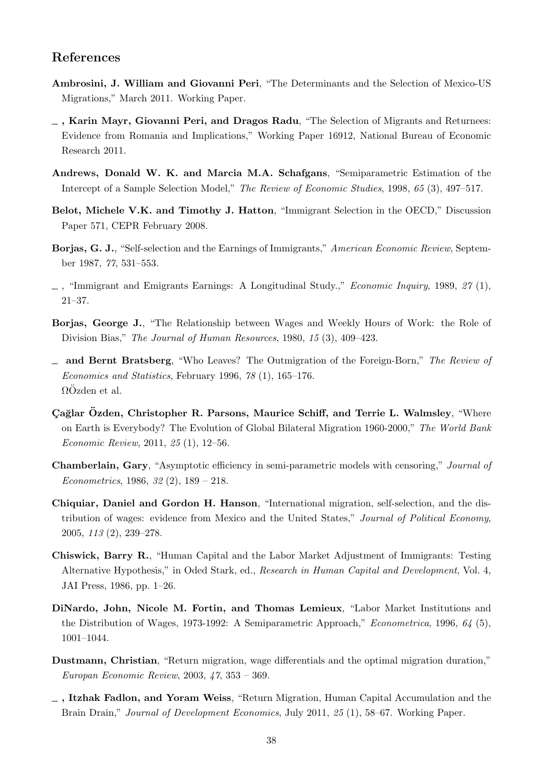## References

- <span id="page-37-3"></span>Ambrosini, J. William and Giovanni Peri, "The Determinants and the Selection of Mexico-US Migrations," March 2011. Working Paper.
- <span id="page-37-9"></span> $\overline{\phantom{a}}$ , Karin Mayr, Giovanni Peri, and Dragos Radu, "The Selection of Migrants and Returnees: Evidence from Romania and Implications," Working Paper 16912, National Bureau of Economic Research 2011.
- <span id="page-37-1"></span>Andrews, Donald W. K. and Marcia M.A. Schafgans, "Semiparametric Estimation of the Intercept of a Sample Selection Model," The Review of Economic Studies, 1998, 65 (3), 497–517.
- <span id="page-37-5"></span>Belot, Michele V.K. and Timothy J. Hatton, "Immigrant Selection in the OECD," Discussion Paper 571, CEPR February 2008.
- <span id="page-37-4"></span>Borjas, G. J., "Self-selection and the Earnings of Immigrants," American Economic Review, September 1987, 77, 531–553.
- <span id="page-37-7"></span> $\Box$ , "Immigrant and Emigrants Earnings: A Longitudinal Study.," *Economic Inquiry*, 1989, 27 (1), 21–37.
- <span id="page-37-12"></span>Borjas, George J., "The Relationship between Wages and Weekly Hours of Work: the Role of Division Bias," The Journal of Human Resources, 1980, 15 (3), 409–423.
- <span id="page-37-6"></span>and Bernt Bratsberg, "Who Leaves? The Outmigration of the Foreign-Born," The Review of Economics and Statistics, February 1996, 78 (1), 165–176.  $\Omega$ Özden et al.
- <span id="page-37-0"></span>Cağlar Özden, Christopher R. Parsons, Maurice Schiff, and Terrie L. Walmsley, "Where on Earth is Everybody? The Evolution of Global Bilateral Migration 1960-2000," The World Bank Economic Review, 2011, 25 (1), 12–56.
- <span id="page-37-11"></span>Chamberlain, Gary, "Asymptotic efficiency in semi-parametric models with censoring," Journal of Econometrics, 1986, 32 (2), 189 – 218.
- <span id="page-37-2"></span>Chiquiar, Daniel and Gordon H. Hanson, "International migration, self-selection, and the distribution of wages: evidence from Mexico and the United States," Journal of Political Economy, 2005, 113 (2), 239–278.
- <span id="page-37-8"></span>Chiswick, Barry R., "Human Capital and the Labor Market Adjustment of Immigrants: Testing Alternative Hypothesis," in Oded Stark, ed., Research in Human Capital and Development, Vol. 4, JAI Press, 1986, pp. 1–26.
- <span id="page-37-10"></span>DiNardo, John, Nicole M. Fortin, and Thomas Lemieux, "Labor Market Institutions and the Distribution of Wages, 1973-1992: A Semiparametric Approach," Econometrica, 1996, 64 (5), 1001–1044.
- <span id="page-37-13"></span>Dustmann, Christian, "Return migration, wage differentials and the optimal migration duration," Europan Economic Review, 2003, 47, 353 – 369.
- <span id="page-37-14"></span> $\overline{\phantom{a}}$ , Itzhak Fadlon, and Yoram Weiss, "Return Migration, Human Capital Accumulation and the Brain Drain," *Journal of Development Economics*, July 2011, 25 (1), 58–67. Working Paper.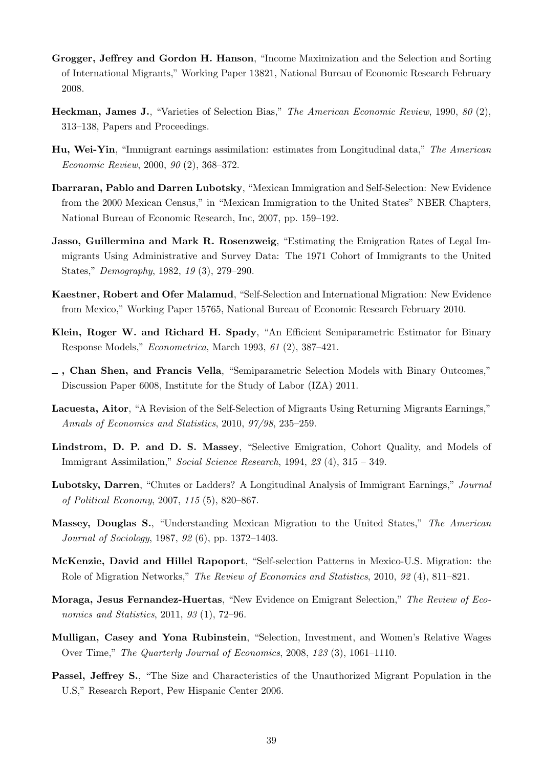- <span id="page-38-7"></span>Grogger, Jeffrey and Gordon H. Hanson, "Income Maximization and the Selection and Sorting of International Migrants," Working Paper 13821, National Bureau of Economic Research February 2008.
- <span id="page-38-11"></span>Heckman, James J., "Varieties of Selection Bias," The American Economic Review, 1990, 80 (2), 313–138, Papers and Proceedings.
- <span id="page-38-0"></span>Hu, Wei-Yin, "Immigrant earnings assimilation: estimates from Longitudinal data," The American Economic Review, 2000, 90 (2), 368–372.
- <span id="page-38-8"></span>Ibarraran, Pablo and Darren Lubotsky, "Mexican Immigration and Self-Selection: New Evidence from the 2000 Mexican Census," in "Mexican Immigration to the United States" NBER Chapters, National Bureau of Economic Research, Inc, 2007, pp. 159–192.
- <span id="page-38-9"></span>Jasso, Guillermina and Mark R. Rosenzweig, "Estimating the Emigration Rates of Legal Immigrants Using Administrative and Survey Data: The 1971 Cohort of Immigrants to the United States," Demography, 1982, 19 (3), 279–290.
- <span id="page-38-4"></span>Kaestner, Robert and Ofer Malamud, "Self-Selection and International Migration: New Evidence from Mexico," Working Paper 15765, National Bureau of Economic Research February 2010.
- <span id="page-38-14"></span>Klein, Roger W. and Richard H. Spady, "An Efficient Semiparametric Estimator for Binary Response Models," Econometrica, March 1993, 61 (2), 387–421.
- <span id="page-38-12"></span> $\overline{\phantom{a}}$ , Chan Shen, and Francis Vella, "Semiparametric Selection Models with Binary Outcomes," Discussion Paper 6008, Institute for the Study of Labor (IZA) 2011.
- <span id="page-38-3"></span>Lacuesta, Aitor, "A Revision of the Self-Selection of Migrants Using Returning Migrants Earnings," Annals of Economics and Statistics, 2010, 97/98, 235–259.
- <span id="page-38-2"></span>Lindstrom, D. P. and D. S. Massey, "Selective Emigration, Cohort Quality, and Models of Immigrant Assimilation," Social Science Research, 1994, 23 (4), 315 – 349.
- <span id="page-38-1"></span>Lubotsky, Darren, "Chutes or Ladders? A Longitudinal Analysis of Immigrant Earnings," Journal of Political Economy, 2007, 115 (5), 820–867.
- <span id="page-38-10"></span>Massey, Douglas S., "Understanding Mexican Migration to the United States," The American Journal of Sociology, 1987, 92 (6), pp. 1372–1403.
- <span id="page-38-6"></span>McKenzie, David and Hillel Rapoport, "Self-selection Patterns in Mexico-U.S. Migration: the Role of Migration Networks," The Review of Economics and Statistics, 2010, 92 (4), 811–821.
- <span id="page-38-5"></span>Moraga, Jesus Fernandez-Huertas, "New Evidence on Emigrant Selection," The Review of Economics and Statistics, 2011, 93 (1), 72–96.
- <span id="page-38-13"></span>Mulligan, Casey and Yona Rubinstein, "Selection, Investment, and Women's Relative Wages Over Time," The Quarterly Journal of Economics, 2008, 123 (3), 1061–1110.
- <span id="page-38-15"></span>Passel, Jeffrey S., "The Size and Characteristics of the Unauthorized Migrant Population in the U.S," Research Report, Pew Hispanic Center 2006.